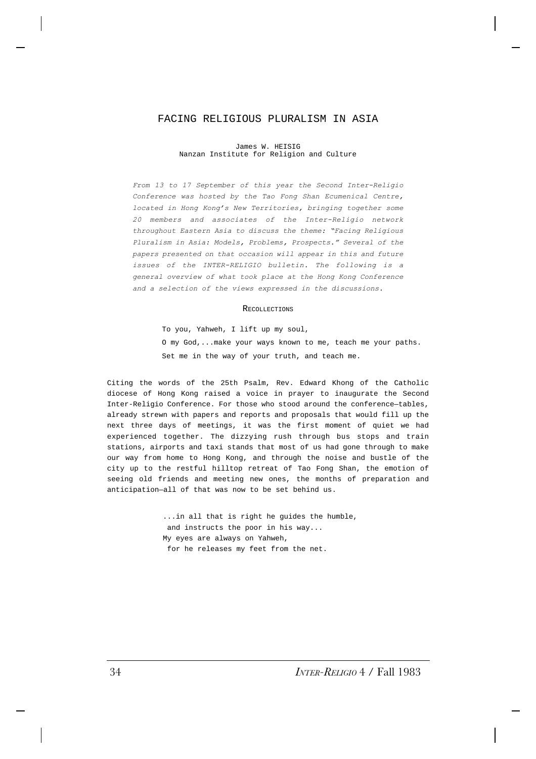# FACING RELIGIOUS PLURALISM IN ASIA

James W. HEISIG Nanzan Institute for Religion and Culture

*From 13 to 17 September of this year the Second Inter-Religio Conference was hosted by the Tao Fong Shan Ecumenical Centre, located in Hong Kong's New Territories, bringing together some 20 members and associates of the Inter-Religio network throughout Eastern Asia to discuss the theme: "Facing Religious Pluralism in Asia: Models, Problems, Prospects." Several of the papers presented on that occasion will appear in this and future issues of the INTER-RELIGIO bulletin. The following is a general overview of what took place at the Hong Kong Conference and a selection of the views expressed in the discussions.*

#### **RECOLLECTIONS**

To you, Yahweh, I lift up my soul, O my God,...make your ways known to me, teach me your paths. Set me in the way of your truth, and teach me.

Citing the words of the 25th Psalm, Rev. Edward Khong of the Catholic diocese of Hong Kong raised a voice in prayer to inaugurate the Second Inter-Religio Conference. For those who stood around the conference—tables, already strewn with papers and reports and proposals that would fill up the next three days of meetings, it was the first moment of quiet we had experienced together. The dizzying rush through bus stops and train stations, airports and taxi stands that most of us had gone through to make our way from home to Hong Kong, and through the noise and bustle of the city up to the restful hilltop retreat of Tao Fong Shan, the emotion of seeing old friends and meeting new ones, the months of preparation and anticipation—all of that was now to be set behind us.

> ...in all that is right he guides the humble, and instructs the poor in his way... My eyes are always on Yahweh, for he releases my feet from the net.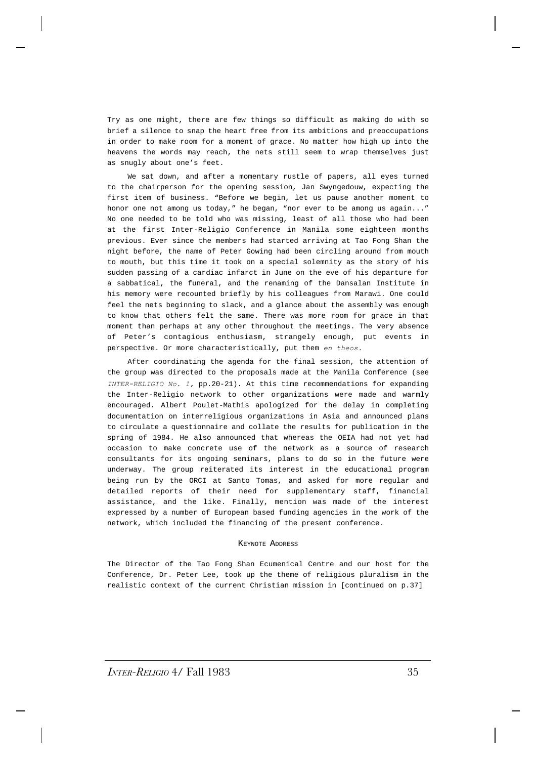Try as one might, there are few things so difficult as making do with so brief a silence to snap the heart free from its ambitions and preoccupations in order to make room for a moment of grace. No matter how high up into the heavens the words may reach, the nets still seem to wrap themselves just as snugly about one's feet.

We sat down, and after a momentary rustle of papers, all eyes turned to the chairperson for the opening session, Jan Swyngedouw, expecting the first item of business. "Before we begin, let us pause another moment to honor one not among us today," he began, "nor ever to be among us again..." No one needed to be told who was missing, least of all those who had been at the first Inter-Religio Conference in Manila some eighteen months previous. Ever since the members had started arriving at Tao Fong Shan the night before, the name of Peter Gowing had been circling around from mouth to mouth, but this time it took on a special solemnity as the story of his sudden passing of a cardiac infarct in June on the eve of his departure for a sabbatical, the funeral, and the renaming of the Dansalan Institute in his memory were recounted briefly by his colleagues from Marawi. One could feel the nets beginning to slack, and a glance about the assembly was enough to know that others felt the same. There was more room for grace in that moment than perhaps at any other throughout the meetings. The very absence of Peter's contagious enthusiasm, strangely enough, put events in perspective. Or more characteristically, put them *en theos.*

After coordinating the agenda for the final session, the attention of the group was directed to the proposals made at the Manila Conference (see *INTER-RELIGIO No. 1,* pp.20-21). At this time recommendations for expanding the Inter-Religio network to other organizations were made and warmly encouraged. Albert Poulet-Mathis apologized for the delay in completing documentation on interreligious organizations in Asia and announced plans to circulate a questionnaire and collate the results for publication in the spring of 1984. He also announced that whereas the OEIA had not yet had occasion to make concrete use of the network as a source of research consultants for its ongoing seminars, plans to do so in the future were underway. The group reiterated its interest in the educational program being run by the ORCI at Santo Tomas, and asked for more regular and detailed reports of their need for supplementary staff, financial assistance, and the like. Finally, mention was made of the interest expressed by a number of European based funding agencies in the work of the network, which included the financing of the present conference.

#### KEYNOTE ADDRESS

The Director of the Tao Fong Shan Ecumenical Centre and our host for the Conference, Dr. Peter Lee, took up the theme of religious pluralism in the realistic context of the current Christian mission in [continued on p.37]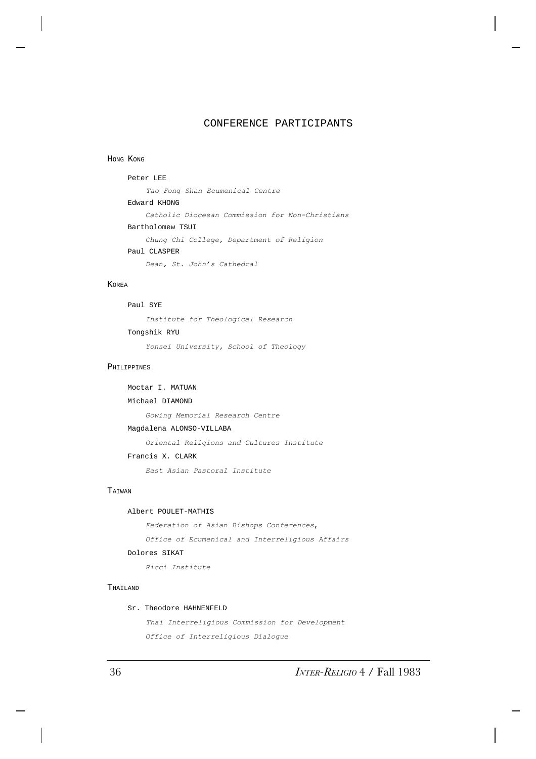# CONFERENCE PARTICIPANTS

#### HONG KONG

Peter LEE *Tao Fong Shan Ecumenical Centre* Edward KHONG *Catholic Diocesan Commission for Non-Christians* Bartholomew TSUI *Chung Chi College, Department of Religion* Paul CLASPER *Dean, St. John's Cathedral*

# KOREA

## Paul SYE

*Institute for Theological Research* Tongshik RYU

*Yonsei University, School of Theology*

## PHILIPPINES

```
Moctar I. MATUAN
Michael DIAMOND
    Gowing Memorial Research Centre
Magdalena ALONSO-VILLABA
    Oriental Religions and Cultures Institute
Francis X. CLARK
    East Asian Pastoral Institute
```
## TAIWAN

## Albert POULET-MATHIS

*Federation of Asian Bishops Conferences*,

*Office of Ecumenical and Interreligious Affairs*

### Dolores SIKAT

*Ricci Institute*

## THAILAND

### Sr. Theodore HAHNENFELD

*Thai Interreligious Commission for Development Office of Interreligious Dialogue*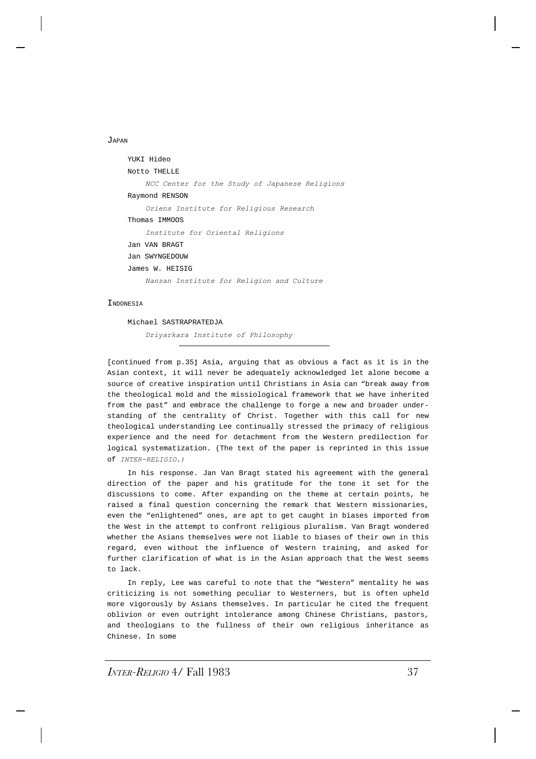JAPAN

```
YUKI Hideo
Notto THELLE
    NCC Center for the Study of Japanese Religions
Raymond RENSON
    Oriens Institute for Religious Research
Thomas IMMOOS
    Institute for Oriental Religions
Jan VAN BRAGT
Jan SWYNGEDOUW
James W. HEISIG
    Nanzan Institute for Religion and Culture
```
#### **TNDONESIA**

Michael SASTRAPRATEDJA *Driyarkara Institute of Philosophy*

[continued from p.35**]** Asia, arguing that as obvious a fact as it is in the Asian context, it will never be adequately acknowledged let alone become a source of creative inspiration until Christians in Asia can "break away from the theological mold and the missiological framework that we have inherited from the past" and embrace the challenge to forge a new and broader understanding of the centrality of Christ. Together with this call for new theological understanding Lee continually stressed the primacy of religious experience and the need for detachment from the Western predilection for logical systematization. (The text of the paper is reprinted in this issue of *INTER-RELIGIO.)*

In his response. Jan Van Bragt stated his agreement with the general direction of the paper and his gratitude for the tone it set for the discussions to come. After expanding on the theme at certain points, he raised a final question concerning the remark that Western missionaries, even the "enlightened" ones, are apt to get caught in biases imported from the West in the attempt to confront religious pluralism. Van Bragt wondered whether the Asians themselves were not liable to biases of their own in this regard, even without the influence of Western training, and asked for further clarification of what is in the Asian approach that the West seems to lack.

In reply, Lee was careful to note that the "Western" mentality he was criticizing is not something peculiar to Westerners, but is often upheld more vigorously by Asians themselves. In particular he cited the frequent oblivion or even outright intolerance among Chinese Christians, pastors, and theologians to the fullness of their own religious inheritance as Chinese. In some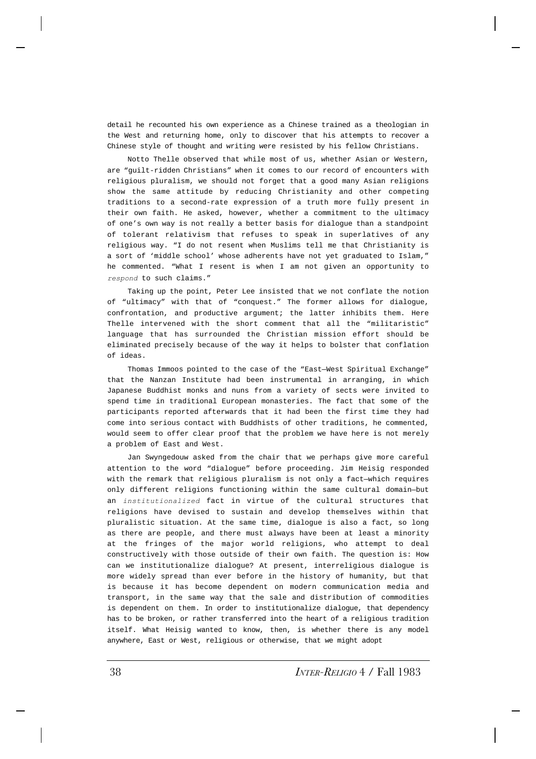detail he recounted his own experience as a Chinese trained as a theologian in the West and returning home, only to discover that his attempts to recover a Chinese style of thought and writing were resisted by his fellow Christians.

Notto Thelle observed that while most of us, whether Asian or Western, are "guilt-ridden Christians" when it comes to our record of encounters with religious pluralism, we should not forget that a good many Asian religions show the same attitude by reducing Christianity and other competing traditions to a second-rate expression of a truth more fully present in their own faith. He asked, however, whether a commitment to the ultimacy of one's own way is not really a better basis for dialogue than a standpoint of tolerant relativism that refuses to speak in superlatives of any religious way. "I do not resent when Muslims tell me that Christianity is a sort of 'middle school' whose adherents have not yet graduated to Islam," he commented. "What I resent is when I am not given an opportunity to *respond* to such claims."

Taking up the point, Peter Lee insisted that we not conflate the notion of "ultimacy" with that of "conquest." The former allows for dialogue, confrontation, and productive argument; the latter inhibits them. Here Thelle intervened with the short comment that all the "militaristic" language that has surrounded the Christian mission effort should be eliminated precisely because of the way it helps to bolster that conflation of ideas.

Thomas Immoos pointed to the case of the "East—West Spiritual Exchange" that the Nanzan Institute had been instrumental in arranging, in which Japanese Buddhist monks and nuns from a variety of sects were invited to spend time in traditional European monasteries. The fact that some of the participants reported afterwards that it had been the first time they had come into serious contact with Buddhists of other traditions, he commented, would seem to offer clear proof that the problem we have here is not merely a problem of East and West.

Jan Swyngedouw asked from the chair that we perhaps give more careful attention to the word "dialogue" before proceeding. Jim Heisig responded with the remark that religious pluralism is not only a fact—which requires only different religions functioning within the same cultural domain—but an *institutionalized* fact in virtue of the cultural structures that religions have devised to sustain and develop themselves within that pluralistic situation. At the same time, dialogue is also a fact, so long as there are people, and there must always have been at least a minority at the fringes of the major world religions, who attempt to deal constructively with those outside of their own faith. The question is: How can we institutionalize dialogue? At present, interreligious dialogue is more widely spread than ever before in the history of humanity, but that is because it has become dependent on modern communication media and transport, in the same way that the sale and distribution of commodities is dependent on them. In order to institutionalize dialogue, that dependency has to be broken, or rather transferred into the heart of a religious tradition itself. What Heisig wanted to know, then, is whether there is any model anywhere, East or West, religious or otherwise, that we might adopt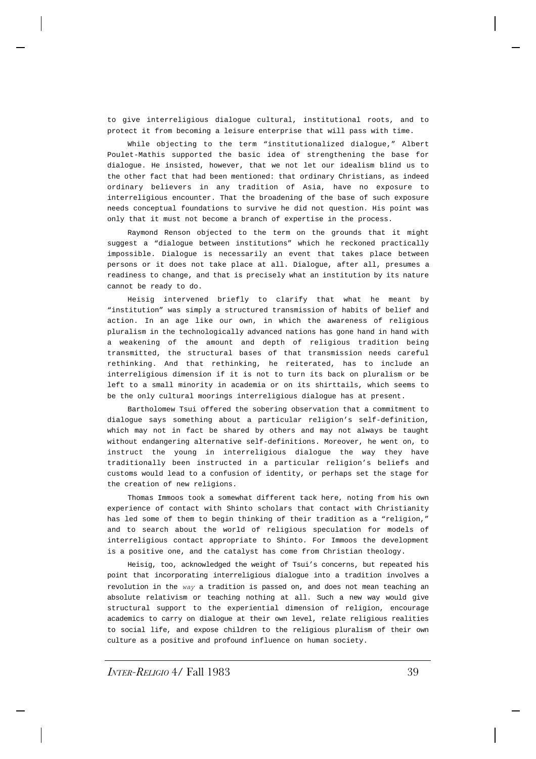to give interreligious dialogue cultural, institutional roots, and to protect it from becoming a leisure enterprise that will pass with time.

While objecting to the term "institutionalized dialogue," Albert Poulet-Mathis supported the basic idea of strengthening the base for dialogue. He insisted, however, that we not let our idealism blind us to the other fact that had been mentioned: that ordinary Christians, as indeed ordinary believers in any tradition of Asia, have no exposure to interreligious encounter. That the broadening of the base of such exposure needs conceptual foundations to survive he did not question. His point was only that it must not become a branch of expertise in the process.

Raymond Renson objected to the term on the grounds that it might suggest a "dialogue between institutions" which he reckoned practically impossible. Dialogue is necessarily an event that takes place between persons or it does not take place at all. Dialogue, after all, presumes a readiness to change, and that is precisely what an institution by its nature cannot be ready to do.

Heisig intervened briefly to clarify that what he meant by "institution" was simply a structured transmission of habits of belief and action. In an age like our own, in which the awareness of religious pluralism in the technologically advanced nations has gone hand in hand with a weakening of the amount and depth of religious tradition being transmitted, the structural bases of that transmission needs careful rethinking. And that rethinking, he reiterated, has to include an interreligious dimension if it is not to turn its back on pluralism or be left to a small minority in academia or on its shirttails, which seems to be the only cultural moorings interreligious dialogue has at present.

Bartholomew Tsui offered the sobering observation that a commitment to dialogue says something about a particular religion's self-definition, which may not in fact be shared by others and may not always be taught without endangering alternative self-definitions. Moreover, he went on, to instruct the young in interreligious dialogue the way they have traditionally been instructed in a particular religion's beliefs and customs would lead to a confusion of identity, or perhaps set the stage for the creation of new religions.

Thomas Immoos took a somewhat different tack here, noting from his own experience of contact with Shinto scholars that contact with Christianity has led some of them to begin thinking of their tradition as a "religion," and to search about the world of religious speculation for models of interreligious contact appropriate to Shinto. For Immoos the development is a positive one, and the catalyst has come from Christian theology.

Heisig, too, acknowledged the weight of Tsui's concerns, but repeated his point that incorporating interreligious dialogue into a tradition involves a revolution in the *way* a tradition is passed on, and does not mean teaching an absolute relativism or teaching nothing at all. Such a new way would give structural support to the experiential dimension of religion, encourage academics to carry on dialogue at their own level, relate religious realities to social life, and expose children to the religious pluralism of their own culture as a positive and profound influence on human society.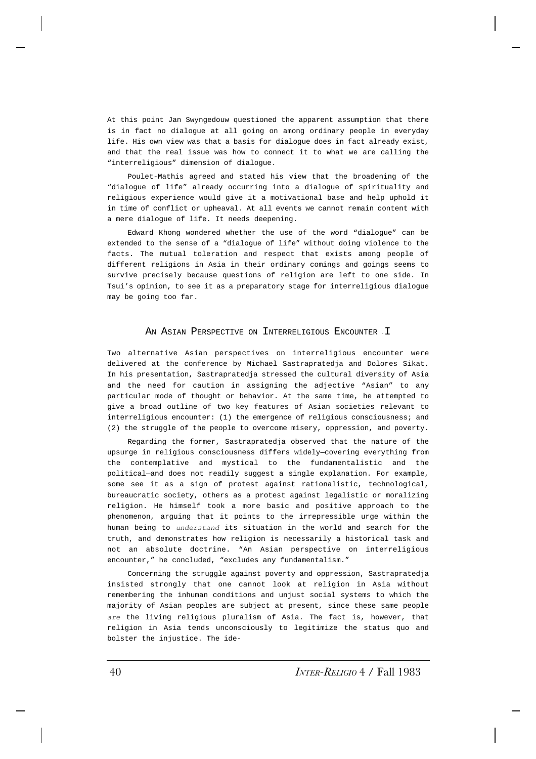At this point Jan Swyngedouw questioned the apparent assumption that there is in fact no dialogue at all going on among ordinary people in everyday life. His own view was that a basis for dialogue does in fact already exist, and that the real issue was how to connect it to what we are calling the "interreligious" dimension of dialogue.

Poulet-Mathis agreed and stated his view that the broadening of the "dialogue of life" already occurring into a dialogue of spirituality and religious experience would give it a motivational base and help uphold it in time of conflict or upheaval. At all events we cannot remain content with a mere dialogue of life. It needs deepening.

Edward Khong wondered whether the use of the word "dialogue" can be extended to the sense of a "dialogue of life" without doing violence to the facts. The mutual toleration and respect that exists among people of different religions in Asia in their ordinary comings and goings seems to survive precisely because questions of religion are left to one side. In Tsui's opinion, to see it as a preparatory stage for interreligious dialogue may be going too far.

## AN ASIAN PERSPECTIVE ON INTERRELIGIOUS ENCOUNTER I

Two alternative Asian perspectives on interreligious encounter were delivered at the conference by Michael Sastrapratedja and Dolores Sikat. In his presentation, Sastrapratedja stressed the cultural diversity of Asia and the need for caution in assigning the adjective "Asian" to any particular mode of thought or behavior. At the same time, he attempted to give a broad outline of two key features of Asian societies relevant to interreligious encounter: (1) the emergence of religious consciousness; and (2) the struggle of the people to overcome misery, oppression, and poverty.

Regarding the former, Sastrapratedja observed that the nature of the upsurge in religious consciousness differs widely—covering everything from the contemplative and mystical to the fundamentalistic and the political—and does not readily suggest a single explanation. For example, some see it as a sign of protest against rationalistic, technological, bureaucratic society, others as a protest against legalistic or moralizing religion. He himself took a more basic and positive approach to the phenomenon, arguing that it points to the irrepressible urge within the human being to *understand* its situation in the world and search for the truth, and demonstrates how religion is necessarily a historical task and not an absolute doctrine. "An Asian perspective on interreligious encounter," he concluded, "excludes any fundamentalism."

Concerning the struggle against poverty and oppression, Sastrapratedja insisted strongly that one cannot look at religion in Asia without remembering the inhuman conditions and unjust social systems to which the majority of Asian peoples are subject at present, since these same people *are* the living religious pluralism of Asia. The fact is, however, that religion in Asia tends unconsciously to legitimize the status quo and bolster the injustice. The ide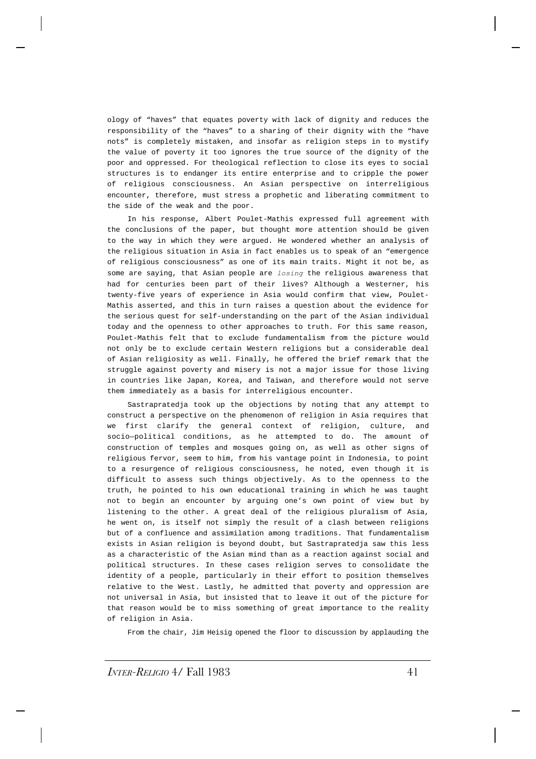ology of "haves" that equates poverty with lack of dignity and reduces the responsibility of the "haves" to a sharing of their dignity with the "have nots" is completely mistaken, and insofar as religion steps in to mystify the value of poverty it too ignores the true source of the dignity of the poor and oppressed. For theological reflection to close its eyes to social structures is to endanger its entire enterprise and to cripple the power of religious consciousness. An Asian perspective on interreligious encounter, therefore, must stress a prophetic and liberating commitment to the side of the weak and the poor.

In his response, Albert Poulet-Mathis expressed full agreement with the conclusions of the paper, but thought more attention should be given to the way in which they were argued. He wondered whether an analysis of the religious situation in Asia in fact enables us to speak of an "emergence of religious consciousness" as one of its main traits. Might it not be, as some are saying, that Asian people are *losing* the religious awareness that had for centuries been part of their lives? Although a Westerner, his twenty-five years of experience in Asia would confirm that view, Poulet-Mathis asserted, and this in turn raises a question about the evidence for the serious quest for self-understanding on the part of the Asian individual today and the openness to other approaches to truth. For this same reason, Poulet-Mathis felt that to exclude fundamentalism from the picture would not only be to exclude certain Western religions but a considerable deal of Asian religiosity as well. Finally, he offered the brief remark that the struggle against poverty and misery is not a major issue for those living in countries like Japan, Korea, and Taiwan, and therefore would not serve them immediately as a basis for interreligious encounter.

Sastrapratedja took up the objections by noting that any attempt to construct a perspective on the phenomenon of religion in Asia requires that we first clarify the general context of religion, culture, and socio—political conditions, as he attempted to do. The amount of construction of temples and mosques going on, as well as other signs of religious fervor, seem to him, from his vantage point in Indonesia, to point to a resurgence of religious consciousness, he noted, even though it is difficult to assess such things objectively. As to the openness to the truth, he pointed to his own educational training in which he was taught not to begin an encounter by arguing one's own point of view but by listening to the other. A great deal of the religious pluralism of Asia, he went on, is itself not simply the result of a clash between religions but of a confluence and assimilation among traditions. That fundamentalism exists in Asian religion is beyond doubt, but Sastrapratedja saw this less as a characteristic of the Asian mind than as a reaction against social and political structures. In these cases religion serves to consolidate the identity of a people, particularly in their effort to position themselves relative to the West. Lastly, he admitted that poverty and oppression are not universal in Asia, but insisted that to leave it out of the picture for that reason would be to miss something of great importance to the reality of religion in Asia.

From the chair, Jim Heisig opened the floor to discussion by applauding the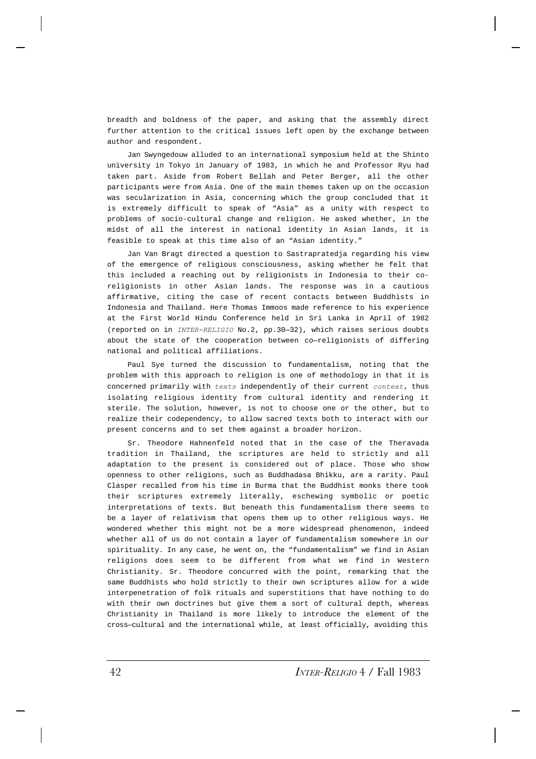breadth and boldness of the paper, and asking that the assembly direct further attention to the critical issues left open by the exchange between author and respondent.

Jan Swyngedouw alluded to an international symposium held at the Shinto university in Tokyo in January of 1983, in which he and Professor Ryu had taken part. Aside from Robert Bellah and Peter Berger, all the other participants were from Asia. One of the main themes taken up on the occasion was secularization in Asia, concerning which the group concluded that it is extremely difficult to speak of "Asia" as a unity with respect to problems of socio-cultural change and religion. He asked whether, in the midst of all the interest in national identity in Asian lands, it is feasible to speak at this time also of an "Asian identity."

Jan Van Bragt directed a question to Sastrapratedja regarding his view of the emergence of religious consciousness, asking whether he felt that this included a reaching out by religionists in Indonesia to their coreligionists in other Asian lands. The response was in a cautious affirmative, citing the case of recent contacts between Buddhists in Indonesia and Thailand. Here Thomas Immoos made reference to his experience at the First World Hindu Conference held in Sri Lanka in April of 1982 (reported on in *INTER-RELIGIO* No.2, pp.30—32), which raises serious doubts about the state of the cooperation between co—religionists of differing national and political affiliations.

Paul Sye turned the discussion to fundamentalism, noting that the problem with this approach to religion is one of methodology in that it is concerned primarily with *texts* independently of their current *context,* thus isolating religious identity from cultural identity and rendering it sterile. The solution, however, is not to choose one or the other, but to realize their codependency, to allow sacred texts both to interact with our present concerns and to set them against a broader horizon.

Sr. Theodore Hahnenfeld noted that in the case of the Theravada tradition in Thailand, the scriptures are held to strictly and all adaptation to the present is considered out of place. Those who show openness to other religions, such as Buddhadasa Bhikku, are a rarity. Paul Clasper recalled from his time in Burma that the Buddhist monks there took their scriptures extremely literally, eschewing symbolic or poetic interpretations of texts. But beneath this fundamentalism there seems to be a layer of relativism that opens them up to other religious ways. He wondered whether this might not be a more widespread phenomenon, indeed whether all of us do not contain a layer of fundamentalism somewhere in our spirituality. In any case, he went on, the "fundamentalism" we find in Asian religions does seem to be different from what we find in Western Christianity. Sr. Theodore concurred with the point, remarking that the same Buddhists who hold strictly to their own scriptures allow for a wide interpenetration of folk rituals and superstitions that have nothing to do with their own doctrines but give them a sort of cultural depth, whereas Christianity in Thailand is more likely to introduce the element of the cross—cultural and the international while, at least officially, avoiding this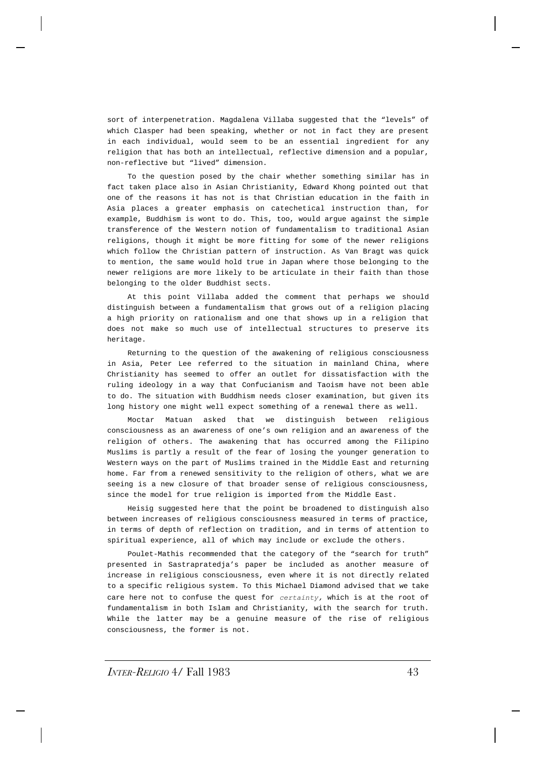sort of interpenetration. Magdalena Villaba suggested that the "levels" of which Clasper had been speaking, whether or not in fact they are present in each individual, would seem to be an essential ingredient for any religion that has both an intellectual, reflective dimension and a popular, non-reflective but "lived" dimension.

To the question posed by the chair whether something similar has in fact taken place also in Asian Christianity, Edward Khong pointed out that one of the reasons it has not is that Christian education in the faith in Asia places a greater emphasis on catechetical instruction than, for example, Buddhism is wont to do. This, too, would argue against the simple transference of the Western notion of fundamentalism to traditional Asian religions, though it might be more fitting for some of the newer religions which follow the Christian pattern of instruction. As Van Bragt was quick to mention, the same would hold true in Japan where those belonging to the newer religions are more likely to be articulate in their faith than those belonging to the older Buddhist sects.

At this point Villaba added the comment that perhaps we should distinguish between a fundamentalism that grows out of a religion placing a high priority on rationalism and one that shows up in a religion that does not make so much use of intellectual structures to preserve its heritage.

Returning to the question of the awakening of religious consciousness in Asia, Peter Lee referred to the situation in mainland China, where Christianity has seemed to offer an outlet for dissatisfaction with the ruling ideology in a way that Confucianism and Taoism have not been able to do. The situation with Buddhism needs closer examination, but given its long history one might well expect something of a renewal there as well.

Moctar Matuan asked that we distinguish between religious consciousness as an awareness of one's own religion and an awareness of the religion of others. The awakening that has occurred among the Filipino Muslims is partly a result of the fear of losing the younger generation to Western ways on the part of Muslims trained in the Middle East and returning home. Far from a renewed sensitivity to the religion of others, what we are seeing is a new closure of that broader sense of religious consciousness, since the model for true religion is imported from the Middle East.

Heisig suggested here that the point be broadened to distinguish also between increases of religious consciousness measured in terms of practice, in terms of depth of reflection on tradition, and in terms of attention to spiritual experience, all of which may include or exclude the others.

Poulet-Mathis recommended that the category of the "search for truth" presented in Sastrapratedja's paper be included as another measure of increase in religious consciousness, even where it is not directly related to a specific religious system. To this Michael Diamond advised that we take care here not to confuse the quest for *certainty,* which is at the root of fundamentalism in both Islam and Christianity, with the search for truth. While the latter may be a genuine measure of the rise of religious consciousness, the former is not.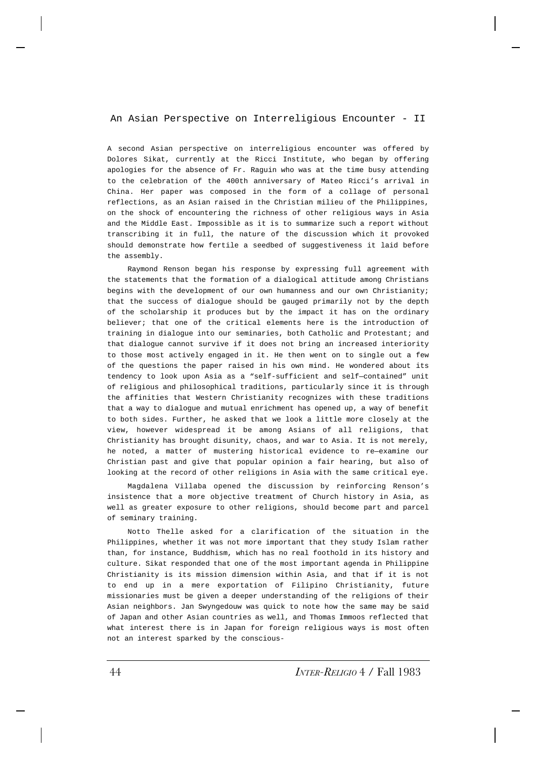# An Asian Perspective on Interreligious Encounter - II

A second Asian perspective on interreligious encounter was offered by Dolores Sikat, currently at the Ricci Institute, who began by offering apologies for the absence of Fr. Raguin who was at the time busy attending to the celebration of the 400th anniversary of Mateo Ricci's arrival in China. Her paper was composed in the form of a collage of personal reflections, as an Asian raised in the Christian milieu of the Philippines, on the shock of encountering the richness of other religious ways in Asia and the Middle East. Impossible as it is to summarize such a report without transcribing it in full, the nature of the discussion which it provoked should demonstrate how fertile a seedbed of suggestiveness it laid before the assembly.

Raymond Renson began his response by expressing full agreement with the statements that the formation of a dialogical attitude among Christians begins with the development of our own humanness and our own Christianity; that the success of dialogue should be gauged primarily not by the depth of the scholarship it produces but by the impact it has on the ordinary believer; that one of the critical elements here is the introduction of training in dialogue into our seminaries, both Catholic and Protestant; and that dialogue cannot survive if it does not bring an increased interiority to those most actively engaged in it. He then went on to single out a few of the questions the paper raised in his own mind. He wondered about its tendency to look upon Asia as a "self-sufficient and self—contained" unit of religious and philosophical traditions, particularly since it is through the affinities that Western Christianity recognizes with these traditions that a way to dialogue and mutual enrichment has opened up, a way of benefit to both sides. Further, he asked that we look a little more closely at the view, however widespread it be among Asians of all religions, that Christianity has brought disunity, chaos, and war to Asia. It is not merely, he noted, a matter of mustering historical evidence to re—examine our Christian past and give that popular opinion a fair hearing, but also of looking at the record of other religions in Asia with the same critical eye.

Magdalena Villaba opened the discussion by reinforcing Renson's insistence that a more objective treatment of Church history in Asia, as well as greater exposure to other religions, should become part and parcel of seminary training.

Notto Thelle asked for a clarification of the situation in the Philippines, whether it was not more important that they study Islam rather than, for instance, Buddhism, which has no real foothold in its history and culture. Sikat responded that one of the most important agenda in Philippine Christianity is its mission dimension within Asia, and that if it is not to end up in a mere exportation of Filipino Christianity, future missionaries must be given a deeper understanding of the religions of their Asian neighbors. Jan Swyngedouw was quick to note how the same may be said of Japan and other Asian countries as well, and Thomas Immoos reflected that what interest there is in Japan for foreign religious ways is most often not an interest sparked by the conscious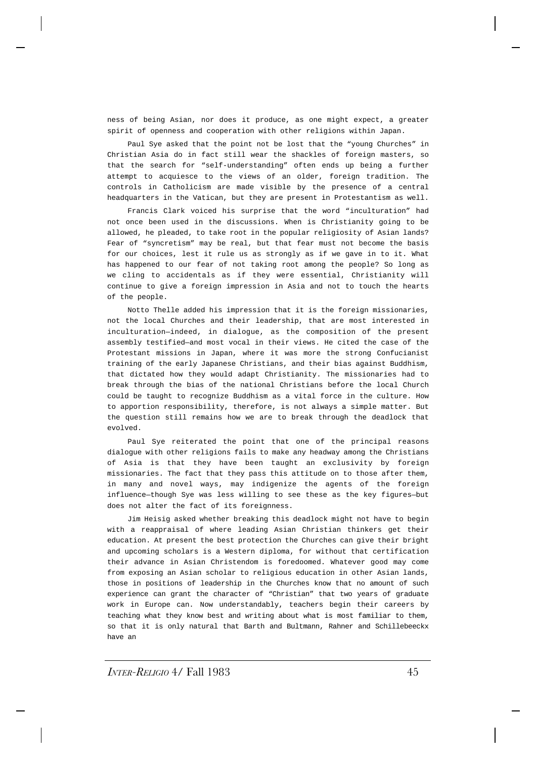ness of being Asian, nor does it produce, as one might expect, a greater spirit of openness and cooperation with other religions within Japan.

Paul Sye asked that the point not be lost that the "young Churches" in Christian Asia do in fact still wear the shackles of foreign masters, so that the search for "self-understanding" often ends up being a further attempt to acquiesce to the views of an older, foreign tradition. The controls in Catholicism are made visible by the presence of a central headquarters in the Vatican, but they are present in Protestantism as well.

Francis Clark voiced his surprise that the word "inculturation" had not once been used in the discussions. When is Christianity going to be allowed, he pleaded, to take root in the popular religiosity of Asian lands? Fear of "syncretism" may be real, but that fear must not become the basis for our choices, lest it rule us as strongly as if we gave in to it. What has happened to our fear of not taking root among the people? So long as we cling to accidentals as if they were essential, Christianity will continue to give a foreign impression in Asia and not to touch the hearts of the people.

Notto Thelle added his impression that it is the foreign missionaries, not the local Churches and their leadership, that are most interested in inculturation—indeed, in dialogue, as the composition of the present assembly testified—and most vocal in their views. He cited the case of the Protestant missions in Japan, where it was more the strong Confucianist training of the early Japanese Christians, and their bias against Buddhism, that dictated how they would adapt Christianity. The missionaries had to break through the bias of the national Christians before the local Church could be taught to recognize Buddhism as a vital force in the culture. How to apportion responsibility, therefore, is not always a simple matter. But the question still remains how we are to break through the deadlock that evolved.

Paul Sye reiterated the point that one of the principal reasons dialogue with other religions fails to make any headway among the Christians of Asia is that they have been taught an exclusivity by foreign missionaries. The fact that they pass this attitude on to those after them, in many and novel ways, may indigenize the agents of the foreign influence—though Sye was less willing to see these as the key figures—but does not alter the fact of its foreignness.

Jim Heisig asked whether breaking this deadlock might not have to begin with a reappraisal of where leading Asian Christian thinkers get their education. At present the best protection the Churches can give their bright and upcoming scholars is a Western diploma, for without that certification their advance in Asian Christendom is foredoomed. Whatever good may come from exposing an Asian scholar to religious education in other Asian lands, those in positions of leadership in the Churches know that no amount of such experience can grant the character of "Christian" that two years of graduate work in Europe can. Now understandably, teachers begin their careers by teaching what they know best and writing about what is most familiar to them, so that it is only natural that Barth and Bultmann, Rahner and Schillebeeckx have an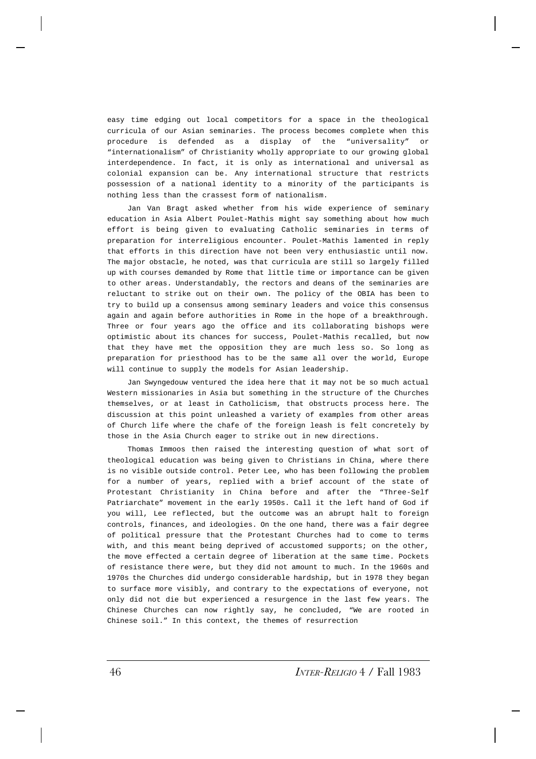easy time edging out local competitors for a space in the theological curricula of our Asian seminaries. The process becomes complete when this procedure is defended as a display of the "universality" or "internationalism" of Christianity wholly appropriate to our growing global interdependence. In fact, it is only as international and universal as colonial expansion can be. Any international structure that restricts possession of a national identity to a minority of the participants is nothing less than the crassest form of nationalism.

Jan Van Bragt asked whether from his wide experience of seminary education in Asia Albert Poulet-Mathis might say something about how much effort is being given to evaluating Catholic seminaries in terms of preparation for interreligious encounter. Poulet-Mathis lamented in reply that efforts in this direction have not been very enthusiastic until now. The major obstacle, he noted, was that curricula are still so largely filled up with courses demanded by Rome that little time or importance can be given to other areas. Understandably, the rectors and deans of the seminaries are reluctant to strike out on their own. The policy of the OBIA has been to try to build up a consensus among seminary leaders and voice this consensus again and again before authorities in Rome in the hope of a breakthrough. Three or four years ago the office and its collaborating bishops were optimistic about its chances for success, Poulet-Mathis recalled, but now that they have met the opposition they are much less so. So long as preparation for priesthood has to be the same all over the world, Europe will continue to supply the models for Asian leadership.

Jan Swyngedouw ventured the idea here that it may not be so much actual Western missionaries in Asia but something in the structure of the Churches themselves, or at least in Catholicism, that obstructs process here. The discussion at this point unleashed a variety of examples from other areas of Church life where the chafe of the foreign leash is felt concretely by those in the Asia Church eager to strike out in new directions.

Thomas Immoos then raised the interesting question of what sort of theological education was being given to Christians in China, where there is no visible outside control. Peter Lee, who has been following the problem for a number of years, replied with a brief account of the state of Protestant Christianity in China before and after the "Three-Self Patriarchate" movement in the early 1950s. Call it the left hand of God if you will, Lee reflected, but the outcome was an abrupt halt to foreign controls, finances, and ideologies. On the one hand, there was a fair degree of political pressure that the Protestant Churches had to come to terms with, and this meant being deprived of accustomed supports; on the other, the move effected a certain degree of liberation at the same time. Pockets of resistance there were, but they did not amount to much. In the 1960s and 1970s the Churches did undergo considerable hardship, but in 1978 they began to surface more visibly, and contrary to the expectations of everyone, not only did not die but experienced a resurgence in the last few years. The Chinese Churches can now rightly say, he concluded, "We are rooted in Chinese soil." In this context, the themes of resurrection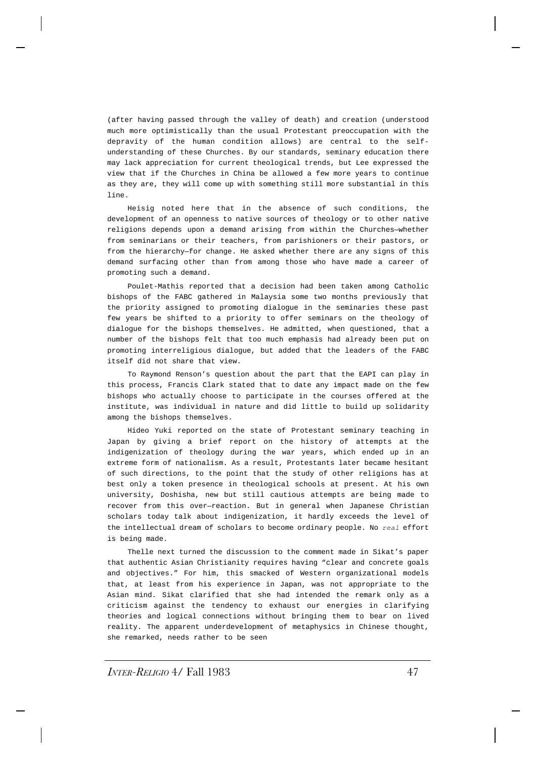(after having passed through the valley of death) and creation (understood much more optimistically than the usual Protestant preoccupation with the depravity of the human condition allows) are central to the selfunderstanding of these Churches. By our standards, seminary education there may lack appreciation for current theological trends, but Lee expressed the view that if the Churches in China be allowed a few more years to continue as they are, they will come up with something still more substantial in this line.

Heisig noted here that in the absence of such conditions, the development of an openness to native sources of theology or to other native religions depends upon a demand arising from within the Churches—whether from seminarians or their teachers, from parishioners or their pastors, or from the hierarchy—for change. He asked whether there are any signs of this demand surfacing other than from among those who have made a career of promoting such a demand.

Poulet-Mathis reported that a decision had been taken among Catholic bishops of the FABC gathered in Malaysia some two months previously that the priority assigned to promoting dialogue in the seminaries these past few years be shifted to a priority to offer seminars on the theology of dialogue for the bishops themselves. He admitted, when questioned, that a number of the bishops felt that too much emphasis had already been put on promoting interreligious dialogue, but added that the leaders of the FABC itself did not share that view.

To Raymond Renson's question about the part that the EAPI can play in this process, Francis Clark stated that to date any impact made on the few bishops who actually choose to participate in the courses offered at the institute, was individual in nature and did little to build up solidarity among the bishops themselves.

Hideo Yuki reported on the state of Protestant seminary teaching in Japan by giving a brief report on the history of attempts at the indigenization of theology during the war years, which ended up in an extreme form of nationalism. As a result, Protestants later became hesitant of such directions, to the point that the study of other religions has at best only a token presence in theological schools at present. At his own university, Doshisha, new but still cautious attempts are being made to recover from this over—reaction. But in general when Japanese Christian scholars today talk about indigenization, it hardly exceeds the level of the intellectual dream of scholars to become ordinary people. No *real* effort is being made.

Thelle next turned the discussion to the comment made in Sikat's paper that authentic Asian Christianity requires having "clear and concrete goals and objectives." For him, this smacked of Western organizational models that, at least from his experience in Japan, was not appropriate to the Asian mind. Sikat clarified that she had intended the remark only as a criticism against the tendency to exhaust our energies in clarifying theories and logical connections without bringing them to bear on lived reality. The apparent underdevelopment of metaphysics in Chinese thought, she remarked, needs rather to be seen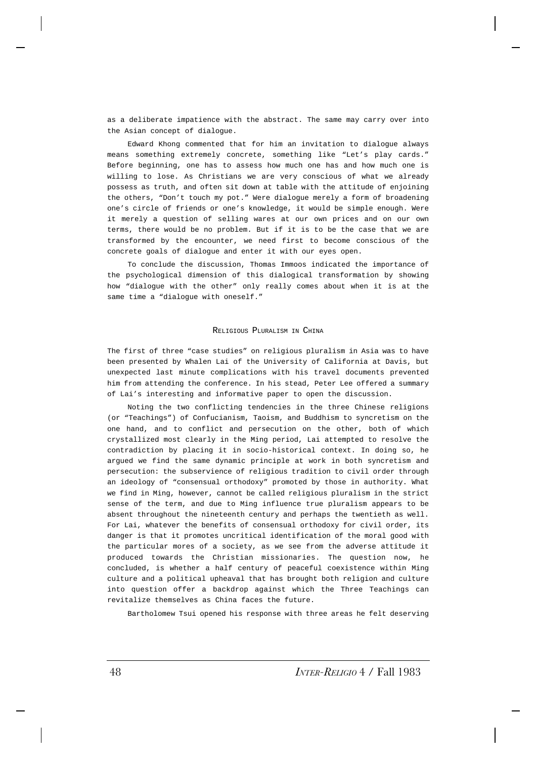as a deliberate impatience with the abstract. The same may carry over into the Asian concept of dialogue.

Edward Khong commented that for him an invitation to dialogue always means something extremely concrete, something like "Let's play cards." Before beginning, one has to assess how much one has and how much one is willing to lose. As Christians we are very conscious of what we already possess as truth, and often sit down at table with the attitude of enjoining the others, "Don't touch my pot." Were dialogue merely a form of broadening one's circle of friends or one's knowledge, it would be simple enough. Were it merely a question of selling wares at our own prices and on our own terms, there would be no problem. But if it is to be the case that we are transformed by the encounter, we need first to become conscious of the concrete goals of dialogue and enter it with our eyes open.

To conclude the discussion, Thomas Immoos indicated the importance of the psychological dimension of this dialogical transformation by showing how "dialogue with the other" only really comes about when it is at the same time a "dialogue with oneself."

#### RELIGIOUS PLURALISM IN CHINA

The first of three "case studies" on religious pluralism in Asia was to have been presented by Whalen Lai of the University of California at Davis, but unexpected last minute complications with his travel documents prevented him from attending the conference. In his stead, Peter Lee offered a summary of Lai's interesting and informative paper to open the discussion.

Noting the two conflicting tendencies in the three Chinese religions (or "Teachings") of Confucianism, Taoism, and Buddhism to syncretism on the one hand, and to conflict and persecution on the other, both of which crystallized most clearly in the Ming period, Lai attempted to resolve the contradiction by placing it in socio-historical context. In doing so, he argued we find the same dynamic principle at work in both syncretism and persecution: the subservience of religious tradition to civil order through an ideology of "consensual orthodoxy" promoted by those in authority. What we find in Ming, however, cannot be called religious pluralism in the strict sense of the term, and due to Ming influence true pluralism appears to be absent throughout the nineteenth century and perhaps the twentieth as well. For Lai, whatever the benefits of consensual orthodoxy for civil order, its danger is that it promotes uncritical identification of the moral good with the particular mores of a society, as we see from the adverse attitude it produced towards the Christian missionaries. The question now, he concluded, is whether a half century of peaceful coexistence within Ming culture and a political upheaval that has brought both religion and culture into question offer a backdrop against which the Three Teachings can revitalize themselves as China faces the future.

Bartholomew Tsui opened his response with three areas he felt deserving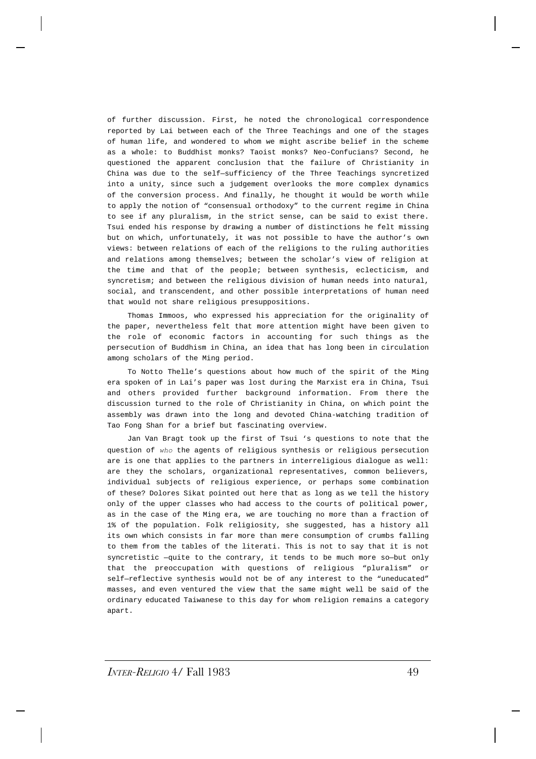of further discussion. First, he noted the chronological correspondence reported by Lai between each of the Three Teachings and one of the stages of human life, and wondered to whom we might ascribe belief in the scheme as a whole: to Buddhist monks? Taoist monks? Neo-Confucians? Second, he questioned the apparent conclusion that the failure of Christianity in China was due to the self—sufficiency of the Three Teachings syncretized into a unity, since such a judgement overlooks the more complex dynamics of the conversion process. And finally, he thought it would be worth while to apply the notion of "consensual orthodoxy" to the current regime in China to see if any pluralism, in the strict sense, can be said to exist there. Tsui ended his response by drawing a number of distinctions he felt missing but on which, unfortunately, it was not possible to have the author's own views: between relations of each of the religions to the ruling authorities and relations among themselves; between the scholar's view of religion at the time and that of the people; between synthesis, eclecticism, and syncretism; and between the religious division of human needs into natural, social, and transcendent, and other possible interpretations of human need that would not share religious presuppositions.

Thomas Immoos, who expressed his appreciation for the originality of the paper, nevertheless felt that more attention might have been given to the role of economic factors in accounting for such things as the persecution of Buddhism in China, an idea that has long been in circulation among scholars of the Ming period.

To Notto Thelle's questions about how much of the spirit of the Ming era spoken of in Lai's paper was lost during the Marxist era in China, Tsui and others provided further background information. From there the discussion turned to the role of Christianity in China, on which point the assembly was drawn into the long and devoted China-watching tradition of Tao Fong Shan for a brief but fascinating overview.

Jan Van Bragt took up the first of Tsui 's questions to note that the question of *who* the agents of religious synthesis or religious persecution are is one that applies to the partners in interreligious dialogue as well: are they the scholars, organizational representatives, common believers, individual subjects of religious experience, or perhaps some combination of these? Dolores Sikat pointed out here that as long as we tell the history only of the upper classes who had access to the courts of political power, as in the case of the Ming era, we are touching no more than a fraction of 1% of the population. Folk religiosity, she suggested, has a history all its own which consists in far more than mere consumption of crumbs falling to them from the tables of the literati. This is not to say that it is not syncretistic —quite to the contrary, it tends to be much more so—but only that the preoccupation with questions of religious "pluralism" or self—reflective synthesis would not be of any interest to the "uneducated" masses, and even ventured the view that the same might well be said of the ordinary educated Taiwanese to this day for whom religion remains a category apart.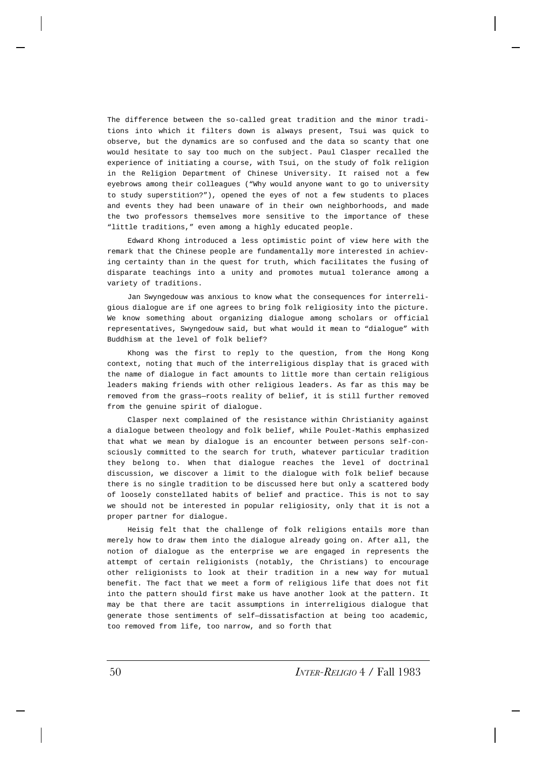The difference between the so-called great tradition and the minor traditions into which it filters down is always present, Tsui was quick to observe, but the dynamics are so confused and the data so scanty that one would hesitate to say too much on the subject. Paul Clasper recalled the experience of initiating a course, with Tsui, on the study of folk religion in the Religion Department of Chinese University. It raised not a few eyebrows among their colleagues ("Why would anyone want to go to university to study superstition?"), opened the eyes of not a few students to places and events they had been unaware of in their own neighborhoods, and made the two professors themselves more sensitive to the importance of these "little traditions," even among a highly educated people.

Edward Khong introduced a less optimistic point of view here with the remark that the Chinese people are fundamentally more interested in achieving certainty than in the quest for truth, which facilitates the fusing of disparate teachings into a unity and promotes mutual tolerance among a variety of traditions.

Jan Swyngedouw was anxious to know what the consequences for interreligious dialogue are if one agrees to bring folk religiosity into the picture. We know something about organizing dialogue among scholars or official representatives, Swyngedouw said, but what would it mean to "dialogue" with Buddhism at the level of folk belief?

Khong was the first to reply to the question, from the Hong Kong context, noting that much of the interreligious display that is graced with the name of dialogue in fact amounts to little more than certain religious leaders making friends with other religious leaders. As far as this may be removed from the grass—roots reality of belief, it is still further removed from the genuine spirit of dialogue.

Clasper next complained of the resistance within Christianity against a dialogue between theology and folk belief, while Poulet-Mathis emphasized that what we mean by dialogue is an encounter between persons self-consciously committed to the search for truth, whatever particular tradition they belong to. When that dialogue reaches the level of doctrinal discussion, we discover a limit to the dialogue with folk belief because there is no single tradition to be discussed here but only a scattered body of loosely constellated habits of belief and practice. This is not to say we should not be interested in popular religiosity, only that it is not a proper partner for dialogue.

Heisig felt that the challenge of folk religions entails more than merely how to draw them into the dialogue already going on. After all, the notion of dialogue as the enterprise we are engaged in represents the attempt of certain religionists (notably, the Christians) to encourage other religionists to look at their tradition in a new way for mutual benefit. The fact that we meet a form of religious life that does not fit into the pattern should first make us have another look at the pattern. It may be that there are tacit assumptions in interreligious dialogue that generate those sentiments of self—dissatisfaction at being too academic, too removed from life, too narrow, and so forth that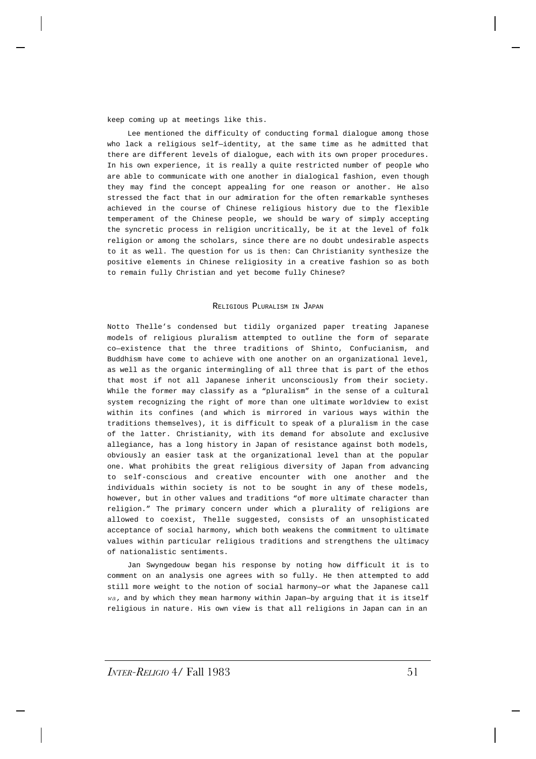keep coming up at meetings like this.

Lee mentioned the difficulty of conducting formal dialogue among those who lack a religious self—identity, at the same time as he admitted that there are different levels of dialogue, each with its own proper procedures. In his own experience, it is really a quite restricted number of people who are able to communicate with one another in dialogical fashion, even though they may find the concept appealing for one reason or another. He also stressed the fact that in our admiration for the often remarkable syntheses achieved in the course of Chinese religious history due to the flexible temperament of the Chinese people, we should be wary of simply accepting the syncretic process in religion uncritically, be it at the level of folk religion or among the scholars, since there are no doubt undesirable aspects to it as well. The question for us is then: Can Christianity synthesize the positive elements in Chinese religiosity in a creative fashion so as both to remain fully Christian and yet become fully Chinese?

#### RELIGIOUS PLURALISM IN JAPAN

Notto Thelle's condensed but tidily organized paper treating Japanese models of religious pluralism attempted to outline the form of separate co—existence that the three traditions of Shinto, Confucianism, and Buddhism have come to achieve with one another on an organizational level, as well as the organic intermingling of all three that is part of the ethos that most if not all Japanese inherit unconsciously from their society. While the former may classify as a "pluralism" in the sense of a cultural system recognizing the right of more than one ultimate worldview to exist within its confines (and which is mirrored in various ways within the traditions themselves), it is difficult to speak of a pluralism in the case of the latter. Christianity, with its demand for absolute and exclusive allegiance, has a long history in Japan of resistance against both models, obviously an easier task at the organizational level than at the popular one. What prohibits the great religious diversity of Japan from advancing to self-conscious and creative encounter with one another and the individuals within society is not to be sought in any of these models, however, but in other values and traditions "of more ultimate character than religion." The primary concern under which a plurality of religions are allowed to coexist, Thelle suggested, consists of an unsophisticated acceptance of social harmony, which both weakens the commitment to ultimate values within particular religious traditions and strengthens the ultimacy of nationalistic sentiments.

Jan Swyngedouw began his response by noting how difficult it is to comment on an analysis one agrees with so fully. He then attempted to add still more weight to the notion of social harmony—or what the Japanese call *wa,* and by which they mean harmony within Japan—by arguing that it is itself religious in nature. His own view is that all religions in Japan can in an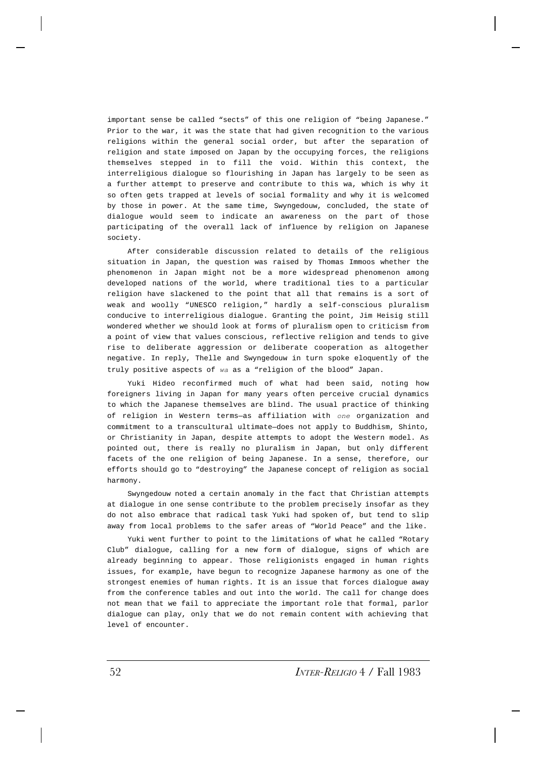important sense be called "sects" of this one religion of "being Japanese." Prior to the war, it was the state that had given recognition to the various religions within the general social order, but after the separation of religion and state imposed on Japan by the occupying forces, the religions themselves stepped in to fill the void. Within this context, the interreligious dialogue so flourishing in Japan has largely to be seen as a further attempt to preserve and contribute to this wa, which is why it so often gets trapped at levels of social formality and why it is welcomed by those in power. At the same time, Swyngedouw, concluded, the state of dialogue would seem to indicate an awareness on the part of those participating of the overall lack of influence by religion on Japanese society.

After considerable discussion related to details of the religious situation in Japan, the question was raised by Thomas Immoos whether the phenomenon in Japan might not be a more widespread phenomenon among developed nations of the world, where traditional ties to a particular religion have slackened to the point that all that remains is a sort of weak and woolly "UNESCO religion," hardly a self-conscious pluralism conducive to interreligious dialogue. Granting the point, Jim Heisig still wondered whether we should look at forms of pluralism open to criticism from a point of view that values conscious, reflective religion and tends to give rise to deliberate aggression or deliberate cooperation as altogether negative. In reply, Thelle and Swyngedouw in turn spoke eloquently of the truly positive aspects of *wa* as a "religion of the blood" Japan.

Yuki Hideo reconfirmed much of what had been said, noting how foreigners living in Japan for many years often perceive crucial dynamics to which the Japanese themselves are blind. The usual practice of thinking of religion in Western terms—as affiliation with *one* organization and commitment to a transcultural ultimate—does not apply to Buddhism, Shinto, or Christianity in Japan, despite attempts to adopt the Western model. As pointed out, there is really no pluralism in Japan, but only different facets of the one religion of being Japanese. In a sense, therefore, our efforts should go to "destroying" the Japanese concept of religion as social harmony.

Swyngedouw noted a certain anomaly in the fact that Christian attempts at dialogue in one sense contribute to the problem precisely insofar as they do not also embrace that radical task Yuki had spoken of, but tend to slip away from local problems to the safer areas of "World Peace" and the like.

Yuki went further to point to the limitations of what he called "Rotary Club" dialogue, calling for a new form of dialogue, signs of which are already beginning to appear. Those religionists engaged in human rights issues, for example, have begun to recognize Japanese harmony as one of the strongest enemies of human rights. It is an issue that forces dialogue away from the conference tables and out into the world. The call for change does not mean that we fail to appreciate the important role that formal, parlor dialogue can play, only that we do not remain content with achieving that level of encounter.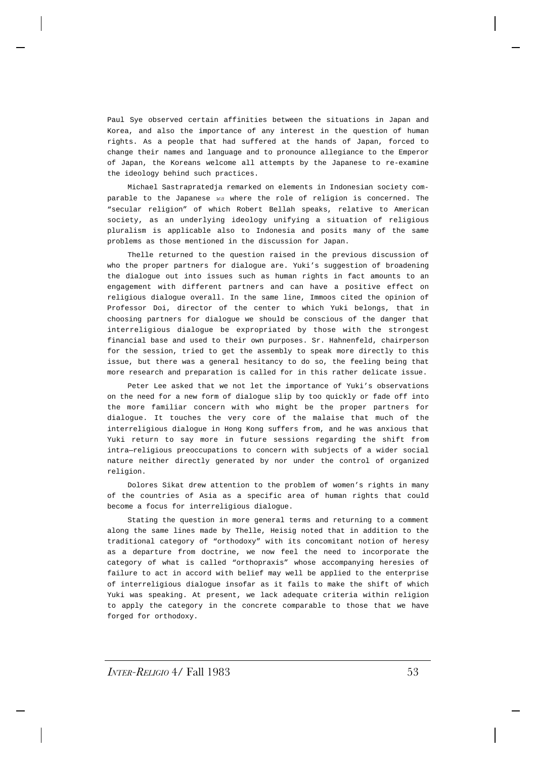Paul Sye observed certain affinities between the situations in Japan and Korea, and also the importance of any interest in the question of human rights. As a people that had suffered at the hands of Japan, forced to change their names and language and to pronounce allegiance to the Emperor of Japan, the Koreans welcome all attempts by the Japanese to re-examine the ideology behind such practices.

Michael Sastrapratedja remarked on elements in Indonesian society comparable to the Japanese *wa* where the role of religion is concerned. The "secular religion" of which Robert Bellah speaks, relative to American society, as an underlying ideology unifying a situation of religious pluralism is applicable also to Indonesia and posits many of the same problems as those mentioned in the discussion for Japan.

Thelle returned to the question raised in the previous discussion of who the proper partners for dialogue are. Yuki's suggestion of broadening the dialogue out into issues such as human rights in fact amounts to an engagement with different partners and can have a positive effect on religious dialogue overall. In the same line, Immoos cited the opinion of Professor Doi, director of the center to which Yuki belongs, that in choosing partners for dialogue we should be conscious of the danger that interreligious dialogue be expropriated by those with the strongest financial base and used to their own purposes. Sr. Hahnenfeld, chairperson for the session, tried to get the assembly to speak more directly to this issue, but there was a general hesitancy to do so, the feeling being that more research and preparation is called for in this rather delicate issue.

Peter Lee asked that we not let the importance of Yuki's observations on the need for a new form of dialogue slip by too quickly or fade off into the more familiar concern with who might be the proper partners for dialogue. It touches the very core of the malaise that much of the interreligious dialogue in Hong Kong suffers from, and he was anxious that Yuki return to say more in future sessions regarding the shift from intra—religious preoccupations to concern with subjects of a wider social nature neither directly generated by nor under the control of organized religion.

Dolores Sikat drew attention to the problem of women's rights in many of the countries of Asia as a specific area of human rights that could become a focus for interreligious dialogue.

Stating the question in more general terms and returning to a comment along the same lines made by Thelle, Heisig noted that in addition to the traditional category of "orthodoxy" with its concomitant notion of heresy as a departure from doctrine, we now feel the need to incorporate the category of what is called "orthopraxis" whose accompanying heresies of failure to act in accord with belief may well be applied to the enterprise of interreligious dialogue insofar as it fails to make the shift of which Yuki was speaking. At present, we lack adequate criteria within religion to apply the category in the concrete comparable to those that we have forged for orthodoxy.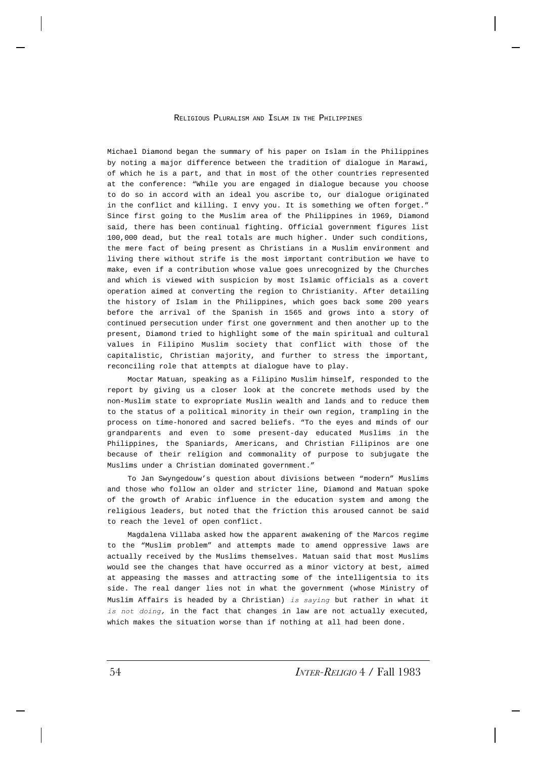RELIGIOUS PLURALISM AND ISLAM IN THE PHILIPPINES

Michael Diamond began the summary of his paper on Islam in the Philippines by noting a major difference between the tradition of dialogue in Marawi, of which he is a part, and that in most of the other countries represented at the conference: "While you are engaged in dialogue because you choose to do so in accord with an ideal you ascribe to, our dialogue originated in the conflict and killing. I envy you. It is something we often forget." Since first going to the Muslim area of the Philippines in 1969, Diamond said, there has been continual fighting. Official government figures list 100,000 dead, but the real totals are much higher. Under such conditions, the mere fact of being present as Christians in a Muslim environment and living there without strife is the most important contribution we have to make, even if a contribution whose value goes unrecognized by the Churches and which is viewed with suspicion by most Islamic officials as a covert operation aimed at converting the region to Christianity. After detailing the history of Islam in the Philippines, which goes back some 200 years before the arrival of the Spanish in 1565 and grows into a story of continued persecution under first one government and then another up to the present, Diamond tried to highlight some of the main spiritual and cultural values in Filipino Muslim society that conflict with those of the capitalistic, Christian majority, and further to stress the important, reconciling role that attempts at dialogue have to play.

Moctar Matuan, speaking as a Filipino Muslim himself, responded to the report by giving us a closer look at the concrete methods used by the non-Muslim state to expropriate Muslin wealth and lands and to reduce them to the status of a political minority in their own region, trampling in the process on time-honored and sacred beliefs. "To the eyes and minds of our grandparents and even to some present-day educated Muslims in the Philippines, the Spaniards, Americans, and Christian Filipinos are one because of their religion and commonality of purpose to subjugate the Muslims under a Christian dominated government."

To Jan Swyngedouw's question about divisions between "modern" Muslims and those who follow an older and stricter line, Diamond and Matuan spoke of the growth of Arabic influence in the education system and among the religious leaders, but noted that the friction this aroused cannot be said to reach the level of open conflict.

Magdalena Villaba asked how the apparent awakening of the Marcos regime to the "Muslim problem" and attempts made to amend oppressive laws are actually received by the Muslims themselves. Matuan said that most Muslims would see the changes that have occurred as a minor victory at best, aimed at appeasing the masses and attracting some of the intelligentsia to its side. The real danger lies not in what the government (whose Ministry of Muslim Affairs is headed by a Christian) *is saying* but rather in what it *is not doing,* in the fact that changes in law are not actually executed, which makes the situation worse than if nothing at all had been done.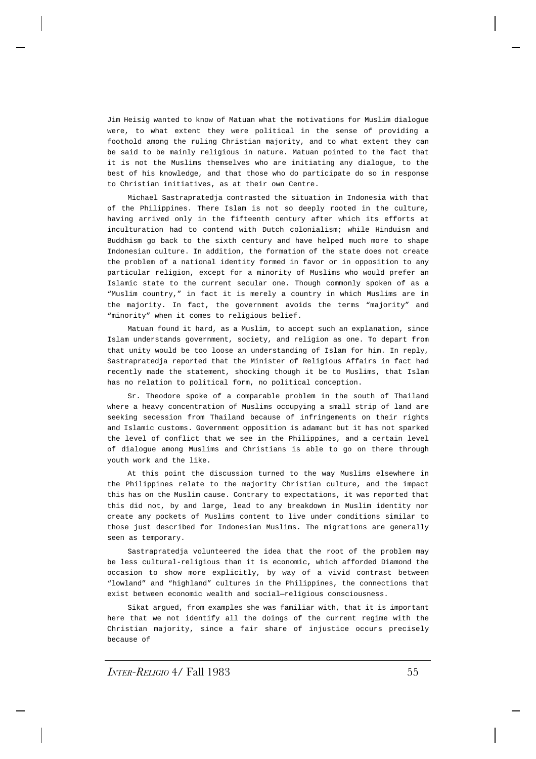Jim Heisig wanted to know of Matuan what the motivations for Muslim dialogue were, to what extent they were political in the sense of providing a foothold among the ruling Christian majority, and to what extent they can be said to be mainly religious in nature. Matuan pointed to the fact that it is not the Muslims themselves who are initiating any dialogue, to the best of his knowledge, and that those who do participate do so in response to Christian initiatives, as at their own Centre.

Michael Sastrapratedja contrasted the situation in Indonesia with that of the Philippines. There Islam is not so deeply rooted in the culture, having arrived only in the fifteenth century after which its efforts at inculturation had to contend with Dutch colonialism; while Hinduism and Buddhism go back to the sixth century and have helped much more to shape Indonesian culture. In addition, the formation of the state does not create the problem of a national identity formed in favor or in opposition to any particular religion, except for a minority of Muslims who would prefer an Islamic state to the current secular one. Though commonly spoken of as a "Muslim country," in fact it is merely a country in which Muslims are in the majority. In fact, the government avoids the terms "majority" and "minority" when it comes to religious belief.

Matuan found it hard, as a Muslim, to accept such an explanation, since Islam understands government, society, and religion as one. To depart from that unity would be too loose an understanding of Islam for him. In reply, Sastrapratedja reported that the Minister of Religious Affairs in fact had recently made the statement, shocking though it be to Muslims, that Islam has no relation to political form, no political conception.

Sr. Theodore spoke of a comparable problem in the south of Thailand where a heavy concentration of Muslims occupying a small strip of land are seeking secession from Thailand because of infringements on their rights and Islamic customs. Government opposition is adamant but it has not sparked the level of conflict that we see in the Philippines, and a certain level of dialogue among Muslims and Christians is able to go on there through youth work and the like.

At this point the discussion turned to the way Muslims elsewhere in the Philippines relate to the majority Christian culture, and the impact this has on the Muslim cause. Contrary to expectations, it was reported that this did not, by and large, lead to any breakdown in Muslim identity nor create any pockets of Muslims content to live under conditions similar to those just described for Indonesian Muslims. The migrations are generally seen as temporary.

Sastrapratedja volunteered the idea that the root of the problem may be less cultural-religious than it is economic, which afforded Diamond the occasion to show more explicitly, by way of a vivid contrast between "lowland" and "highland" cultures in the Philippines, the connections that exist between economic wealth and social—religious consciousness.

Sikat argued, from examples she was familiar with, that it is important here that we not identify all the doings of the current regime with the Christian majority, since a fair share of injustice occurs precisely because of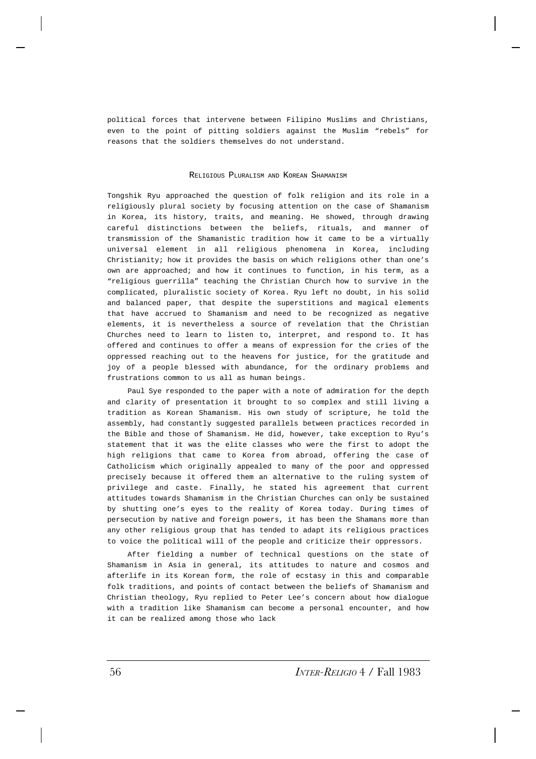political forces that intervene between Filipino Muslims and Christians, even to the point of pitting soldiers against the Muslim "rebels" for reasons that the soldiers themselves do not understand.

### RELIGIOUS PLURALISM AND KOREAN SHAMANISM

Tongshik Ryu approached the question of folk religion and its role in a religiously plural society by focusing attention on the case of Shamanism in Korea, its history, traits, and meaning. He showed, through drawing careful distinctions between the beliefs, rituals, and manner of transmission of the Shamanistic tradition how it came to be a virtually universal element in all religious phenomena in Korea, including Christianity; how it provides the basis on which religions other than one's own are approached; and how it continues to function, in his term, as a "religious guerrilla" teaching the Christian Church how to survive in the complicated, pluralistic society of Korea. Ryu left no doubt, in his solid and balanced paper, that despite the superstitions and magical elements that have accrued to Shamanism and need to be recognized as negative elements, it is nevertheless a source of revelation that the Christian Churches need to learn to listen to, interpret, and respond to. It has offered and continues to offer a means of expression for the cries of the oppressed reaching out to the heavens for justice, for the gratitude and joy of a people blessed with abundance, for the ordinary problems and frustrations common to us all as human beings.

Paul Sye responded to the paper with a note of admiration for the depth and clarity of presentation it brought to so complex and still living a tradition as Korean Shamanism. His own study of scripture, he told the assembly, had constantly suggested parallels between practices recorded in the Bible and those of Shamanism. He did, however, take exception to Ryu's statement that it was the elite classes who were the first to adopt the high religions that came to Korea from abroad, offering the case of Catholicism which originally appealed to many of the poor and oppressed precisely because it offered them an alternative to the ruling system of privilege and caste. Finally, he stated his agreement that current attitudes towards Shamanism in the Christian Churches can only be sustained by shutting one's eyes to the reality of Korea today. During times of persecution by native and foreign powers, it has been the Shamans more than any other religious group that has tended to adapt its religious practices to voice the political will of the people and criticize their oppressors.

After fielding a number of technical questions on the state of Shamanism in Asia in general, its attitudes to nature and cosmos and afterlife in its Korean form, the role of ecstasy in this and comparable folk traditions, and points of contact between the beliefs of Shamanism and Christian theology, Ryu replied to Peter Lee's concern about how dialogue with a tradition like Shamanism can become a personal encounter, and how it can be realized among those who lack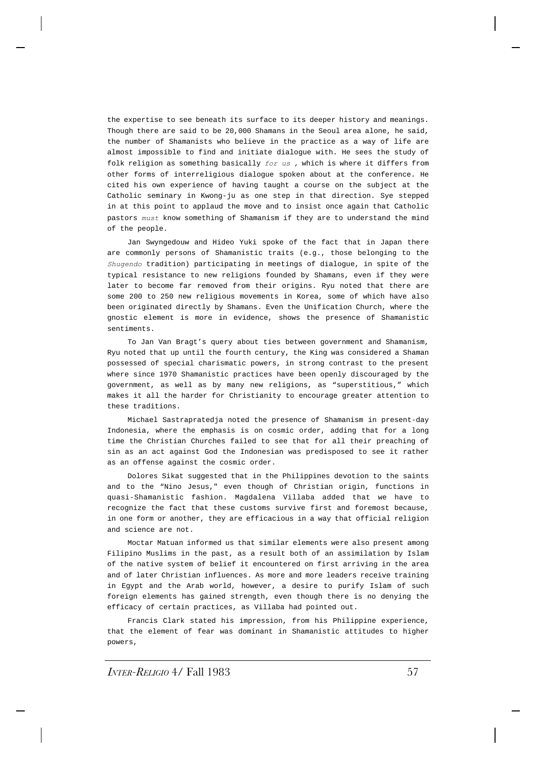the expertise to see beneath its surface to its deeper history and meanings. Though there are said to be 20,000 Shamans in the Seoul area alone, he said, the number of Shamanists who believe in the practice as a way of life are almost impossible to find and initiate dialogue with. He sees the study of folk religion as something basically *for us ,* which is where it differs from other forms of interreligious dialogue spoken about at the conference. He cited his own experience of having taught a course on the subject at the Catholic seminary in Kwong-ju as one step in that direction. Sye stepped in at this point to applaud the move and to insist once again that Catholic pastors *must* know something of Shamanism if they are to understand the mind of the people.

Jan Swyngedouw and Hideo Yuki spoke of the fact that in Japan there are commonly persons of Shamanistic traits (e.g., those belonging to the *Shugendo* tradition) participating in meetings of dialogue, in spite of the typical resistance to new religions founded by Shamans, even if they were later to become far removed from their origins. Ryu noted that there are some 200 to 250 new religious movements in Korea, some of which have also been originated directly by Shamans. Even the Unification Church, where the gnostic element is more in evidence, shows the presence of Shamanistic sentiments.

To Jan Van Bragt's query about ties between government and Shamanism, Ryu noted that up until the fourth century, the King was considered a Shaman possessed of special charismatic powers, in strong contrast to the present where since 1970 Shamanistic practices have been openly discouraged by the government, as well as by many new religions, as "superstitious," which makes it all the harder for Christianity to encourage greater attention to these traditions.

Michael Sastrapratedja noted the presence of Shamanism in present-day Indonesia, where the emphasis is on cosmic order, adding that for a long time the Christian Churches failed to see that for all their preaching of sin as an act against God the Indonesian was predisposed to see it rather as an offense against the cosmic order.

Dolores Sikat suggested that in the Philippines devotion to the saints and to the "Nino Jesus," even though of Christian origin, functions in quasi-Shamanistic fashion. Magdalena Villaba added that we have to recognize the fact that these customs survive first and foremost because, in one form or another, they are efficacious in a way that official religion and science are not.

Moctar Matuan informed us that similar elements were also present among Filipino Muslims in the past, as a result both of an assimilation by Islam of the native system of belief it encountered on first arriving in the area and of later Christian influences. As more and more leaders receive training in Egypt and the Arab world, however, a desire to purify Islam of such foreign elements has gained strength, even though there is no denying the efficacy of certain practices, as Villaba had pointed out.

Francis Clark stated his impression, from his Philippine experience, that the element of fear was dominant in Shamanistic attitudes to higher powers,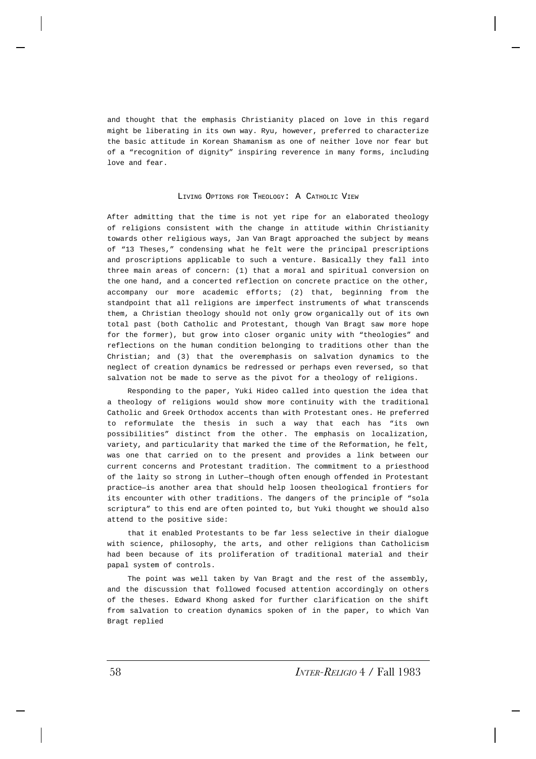and thought that the emphasis Christianity placed on love in this regard might be liberating in its own way. Ryu, however, preferred to characterize the basic attitude in Korean Shamanism as one of neither love nor fear but of a "recognition of dignity" inspiring reverence in many forms, including love and fear.

#### LIVING OPTIONS FOR THEOLOGY: A CATHOLIC VIEW

After admitting that the time is not yet ripe for an elaborated theology of religions consistent with the change in attitude within Christianity towards other religious ways, Jan Van Bragt approached the subject by means of "13 Theses," condensing what he felt were the principal prescriptions and proscriptions applicable to such a venture. Basically they fall into three main areas of concern: (1) that a moral and spiritual conversion on the one hand, and a concerted reflection on concrete practice on the other, accompany our more academic efforts; (2) that, beginning from the standpoint that all religions are imperfect instruments of what transcends them, a Christian theology should not only grow organically out of its own total past (both Catholic and Protestant, though Van Bragt saw more hope for the former), but grow into closer organic unity with "theologies" and reflections on the human condition belonging to traditions other than the Christian; and (3) that the overemphasis on salvation dynamics to the neglect of creation dynamics be redressed or perhaps even reversed, so that salvation not be made to serve as the pivot for a theology of religions.

Responding to the paper, Yuki Hideo called into question the idea that a theology of religions would show more continuity with the traditional Catholic and Greek Orthodox accents than with Protestant ones. He preferred to reformulate the thesis in such a way that each has "its own possibilities" distinct from the other. The emphasis on localization, variety, and particularity that marked the time of the Reformation, he felt, was one that carried on to the present and provides a link between our current concerns and Protestant tradition. The commitment to a priesthood of the laity so strong in Luther—though often enough offended in Protestant practice—is another area that should help loosen theological frontiers for its encounter with other traditions. The dangers of the principle of "sola scriptura" to this end are often pointed to, but Yuki thought we should also attend to the positive side:

that it enabled Protestants to be far less selective in their dialogue with science, philosophy, the arts, and other religions than Catholicism had been because of its proliferation of traditional material and their papal system of controls.

The point was well taken by Van Bragt and the rest of the assembly, and the discussion that followed focused attention accordingly on others of the theses. Edward Khong asked for further clarification on the shift from salvation to creation dynamics spoken of in the paper, to which Van Bragt replied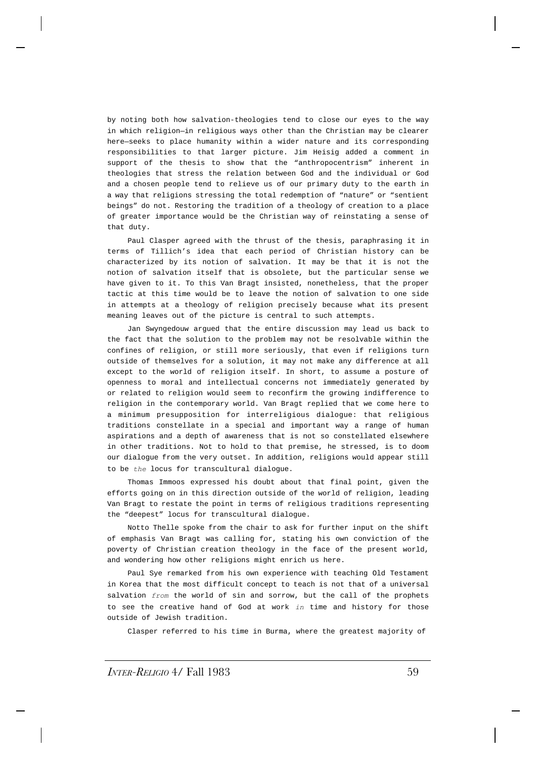by noting both how salvation-theologies tend to close our eyes to the way in which religion—in religious ways other than the Christian may be clearer here—seeks to place humanity within a wider nature and its corresponding responsibilities to that larger picture. Jim Heisig added a comment in support of the thesis to show that the "anthropocentrism" inherent in theologies that stress the relation between God and the individual or God and a chosen people tend to relieve us of our primary duty to the earth in a way that religions stressing the total redemption of "nature" or "sentient beings" do not. Restoring the tradition of a theology of creation to a place of greater importance would be the Christian way of reinstating a sense of that duty.

Paul Clasper agreed with the thrust of the thesis, paraphrasing it in terms of Tillich's idea that each period of Christian history can be characterized by its notion of salvation. It may be that it is not the notion of salvation itself that is obsolete, but the particular sense we have given to it. To this Van Bragt insisted, nonetheless, that the proper tactic at this time would be to leave the notion of salvation to one side in attempts at a theology of religion precisely because what its present meaning leaves out of the picture is central to such attempts.

Jan Swyngedouw argued that the entire discussion may lead us back to the fact that the solution to the problem may not be resolvable within the confines of religion, or still more seriously, that even if religions turn outside of themselves for a solution, it may not make any difference at all except to the world of religion itself. In short, to assume a posture of openness to moral and intellectual concerns not immediately generated by or related to religion would seem to reconfirm the growing indifference to religion in the contemporary world. Van Bragt replied that we come here to a minimum presupposition for interreligious dialogue: that religious traditions constellate in a special and important way a range of human aspirations and a depth of awareness that is not so constellated elsewhere in other traditions. Not to hold to that premise, he stressed, is to doom our dialogue from the very outset. In addition, religions would appear still to be *the* locus for transcultural dialogue.

Thomas Immoos expressed his doubt about that final point, given the efforts going on in this direction outside of the world of religion, leading Van Bragt to restate the point in terms of religious traditions representing the "deepest" locus for transcultural dialogue.

Notto Thelle spoke from the chair to ask for further input on the shift of emphasis Van Bragt was calling for, stating his own conviction of the poverty of Christian creation theology in the face of the present world, and wondering how other religions might enrich us here.

Paul Sye remarked from his own experience with teaching Old Testament in Korea that the most difficult concept to teach is not that of a universal salvation *from* the world of sin and sorrow, but the call of the prophets to see the creative hand of God at work *in* time and history for those outside of Jewish tradition.

Clasper referred to his time in Burma, where the greatest majority of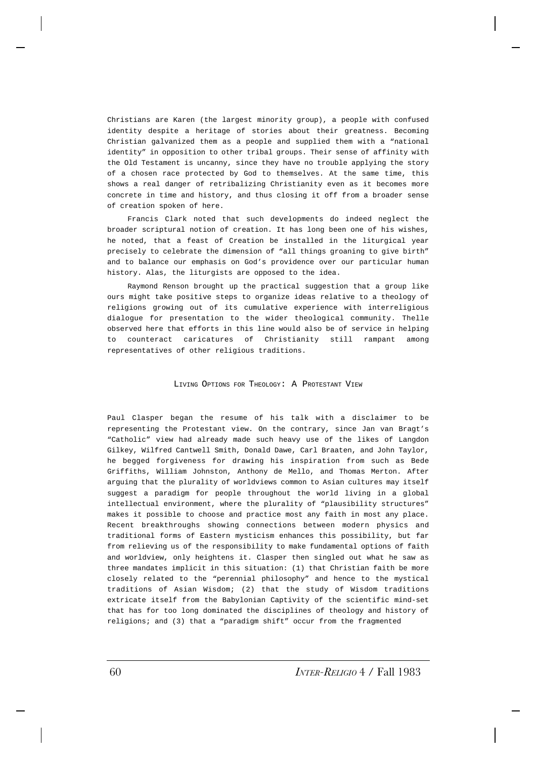Christians are Karen (the largest minority group), a people with confused identity despite a heritage of stories about their greatness. Becoming Christian galvanized them as a people and supplied them with a "national identity" in opposition to other tribal groups. Their sense of affinity with the Old Testament is uncanny, since they have no trouble applying the story of a chosen race protected by God to themselves. At the same time, this shows a real danger of retribalizing Christianity even as it becomes more concrete in time and history, and thus closing it off from a broader sense of creation spoken of here.

Francis Clark noted that such developments do indeed neglect the broader scriptural notion of creation. It has long been one of his wishes, he noted, that a feast of Creation be installed in the liturgical year precisely to celebrate the dimension of "all things groaning to give birth" and to balance our emphasis on God's providence over our particular human history. Alas, the liturgists are opposed to the idea.

Raymond Renson brought up the practical suggestion that a group like ours might take positive steps to organize ideas relative to a theology of religions growing out of its cumulative experience with interreligious dialogue for presentation to the wider theological community. Thelle observed here that efforts in this line would also be of service in helping to counteract caricatures of Christianity still rampant among representatives of other religious traditions.

LIVING OPTIONS FOR THEOLOGY: A PROTESTANT VIEW

Paul Clasper began the resume of his talk with a disclaimer to be representing the Protestant view. On the contrary, since Jan van Bragt's "Catholic" view had already made such heavy use of the likes of Langdon Gilkey, Wilfred Cantwell Smith, Donald Dawe, Carl Braaten, and John Taylor, he begged forgiveness for drawing his inspiration from such as Bede Griffiths, William Johnston, Anthony de Mello, and Thomas Merton. After arguing that the plurality of worldviews common to Asian cultures may itself suggest a paradigm for people throughout the world living in a global intellectual environment, where the plurality of "plausibility structures" makes it possible to choose and practice most any faith in most any place. Recent breakthroughs showing connections between modern physics and traditional forms of Eastern mysticism enhances this possibility, but far from relieving us of the responsibility to make fundamental options of faith and worldview, only heightens it. Clasper then singled out what he saw as three mandates implicit in this situation: (1) that Christian faith be more closely related to the "perennial philosophy" and hence to the mystical traditions of Asian Wisdom; (2) that the study of Wisdom traditions extricate itself from the Babylonian Captivity of the scientific mind-set that has for too long dominated the disciplines of theology and history of religions; and (3) that a "paradigm shift" occur from the fragmented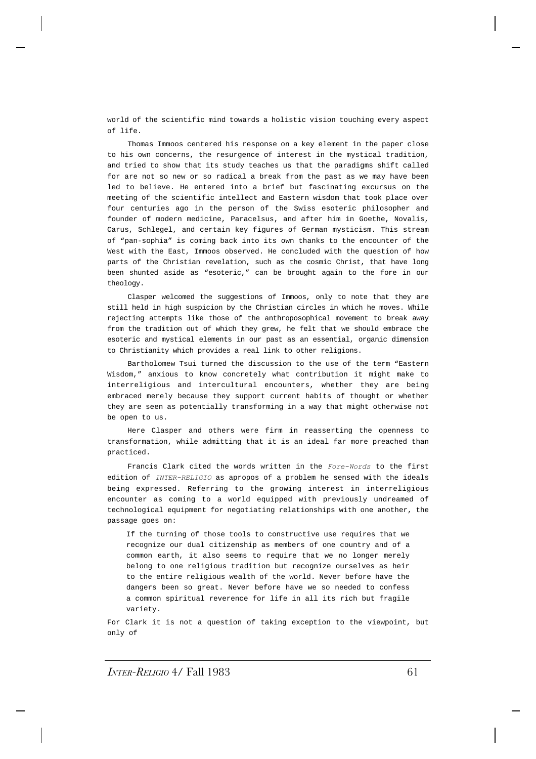world of the scientific mind towards a holistic vision touching every aspect of life.

Thomas Immoos centered his response on a key element in the paper close to his own concerns, the resurgence of interest in the mystical tradition, and tried to show that its study teaches us that the paradigms shift called for are not so new or so radical a break from the past as we may have been led to believe. He entered into a brief but fascinating excursus on the meeting of the scientific intellect and Eastern wisdom that took place over four centuries ago in the person of the Swiss esoteric philosopher and founder of modern medicine, Paracelsus, and after him in Goethe, Novalis, Carus, Schlegel, and certain key figures of German mysticism. This stream of "pan-sophia" is coming back into its own thanks to the encounter of the West with the East, Immoos observed. He concluded with the question of how parts of the Christian revelation, such as the cosmic Christ, that have long been shunted aside as "esoteric," can be brought again to the fore in our theology.

Clasper welcomed the suggestions of Immoos, only to note that they are still held in high suspicion by the Christian circles in which he moves. While rejecting attempts like those of the anthroposophical movement to break away from the tradition out of which they grew, he felt that we should embrace the esoteric and mystical elements in our past as an essential, organic dimension to Christianity which provides a real link to other religions.

Bartholomew Tsui turned the discussion to the use of the term "Eastern Wisdom," anxious to know concretely what contribution it might make to interreligious and intercultural encounters, whether they are being embraced merely because they support current habits of thought or whether they are seen as potentially transforming in a way that might otherwise not be open to us.

Here Clasper and others were firm in reasserting the openness to transformation, while admitting that it is an ideal far more preached than practiced.

Francis Clark cited the words written in the *Fore-Words* to the first edition of *INTER-RELIGIO* as apropos of a problem he sensed with the ideals being expressed. Referring to the growing interest in interreligious encounter as coming to a world equipped with previously undreamed of technological equipment for negotiating relationships with one another, the passage goes on:

If the turning of those tools to constructive use requires that we recognize our dual citizenship as members of one country and of a common earth, it also seems to require that we no longer merely belong to one religious tradition but recognize ourselves as heir to the entire religious wealth of the world. Never before have the dangers been so great. Never before have we so needed to confess a common spiritual reverence for life in all its rich but fragile variety.

For Clark it is not a question of taking exception to the viewpoint, but only of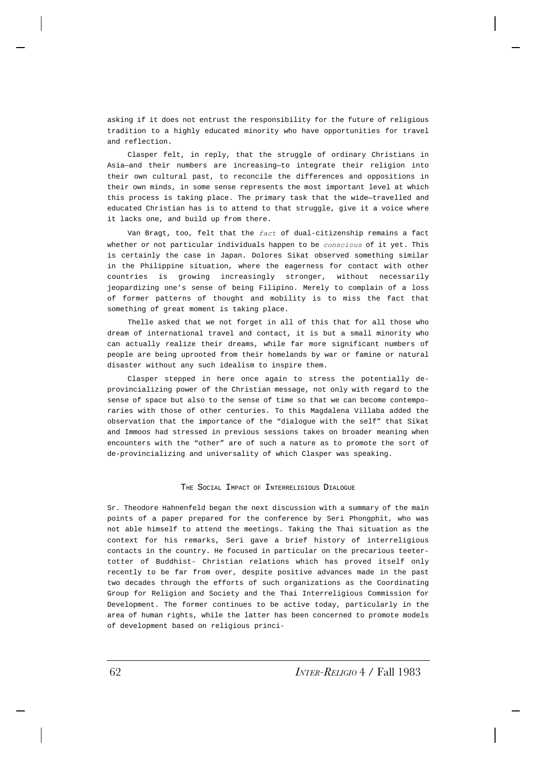asking if it does not entrust the responsibility for the future of religious tradition to a highly educated minority who have opportunities for travel and reflection.

Clasper felt, in reply, that the struggle of ordinary Christians in Asia—and their numbers are increasing—to integrate their religion into their own cultural past, to reconcile the differences and oppositions in their own minds, in some sense represents the most important level at which this process is taking place. The primary task that the wide—travelled and educated Christian has is to attend to that struggle, give it a voice where it lacks one, and build up from there.

Van Bragt, too, felt that the *fact* of dual-citizenship remains a fact whether or not particular individuals happen to be *conscious* of it yet. This is certainly the case in Japan. Dolores Sikat observed something similar in the Philippine situation, where the eagerness for contact with other countries is growing increasingly stronger, without necessarily jeopardizing one's sense of being Filipino. Merely to complain of a loss of former patterns of thought and mobility is to miss the fact that something of great moment is taking place.

Thelle asked that we not forget in all of this that for all those who dream of international travel and contact, it is but a small minority who can actually realize their dreams, while far more significant numbers of people are being uprooted from their homelands by war or famine or natural disaster without any such idealism to inspire them.

Clasper stepped in here once again to stress the potentially deprovincializing power of the Christian message, not only with regard to the sense of space but also to the sense of time so that we can become contemporaries with those of other centuries. To this Magdalena Villaba added the observation that the importance of the "dialogue with the self" that Sikat and Immoos had stressed in previous sessions takes on broader meaning when encounters with the "other" are of such a nature as to promote the sort of de-provincializing and universality of which Clasper was speaking.

### THE SOCIAL IMPACT OF INTERRELIGIOUS DIALOGUE

Sr. Theodore Hahnenfeld began the next discussion with a summary of the main points of a paper prepared for the conference by Seri Phongphit, who was not able himself to attend the meetings. Taking the Thai situation as the context for his remarks, Seri gave a brief history of interreligious contacts in the country. He focused in particular on the precarious teetertotter of Buddhist- Christian relations which has proved itself only recently to be far from over, despite positive advances made in the past two decades through the efforts of such organizations as the Coordinating Group for Religion and Society and the Thai Interreligious Commission for Development. The former continues to be active today, particularly in the area of human rights, while the latter has been concerned to promote models of development based on religious princi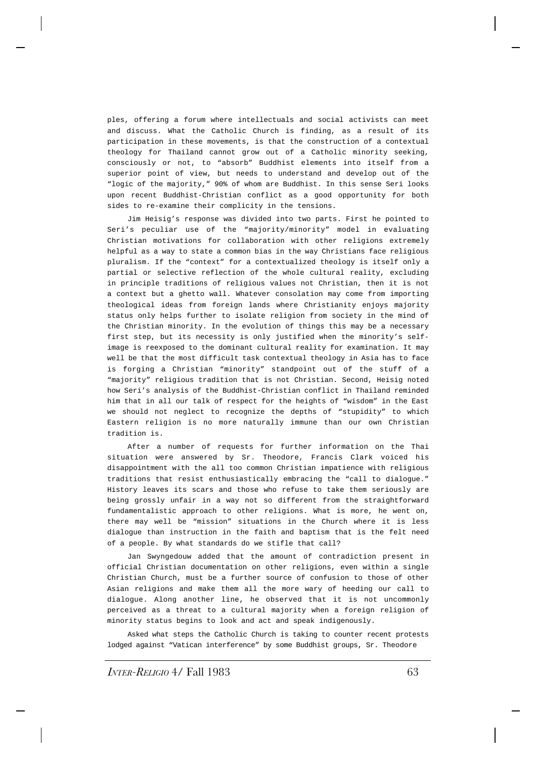ples, offering a forum where intellectuals and social activists can meet and discuss. What the Catholic Church is finding, as a result of its participation in these movements, is that the construction of a contextual theology for Thailand cannot grow out of a Catholic minority seeking, consciously or not, to "absorb" Buddhist elements into itself from a superior point of view, but needs to understand and develop out of the "logic of the majority," 90% of whom are Buddhist. In this sense Seri looks upon recent Buddhist-Christian conflict as a good opportunity for both sides to re-examine their complicity in the tensions.

Jim Heisig's response was divided into two parts. First he pointed to Seri's peculiar use of the "majority/minority" model in evaluating Christian motivations for collaboration with other religions extremely helpful as a way to state a common bias in the way Christians face religious pluralism. If the "context" for a contextualized theology is itself only a partial or selective reflection of the whole cultural reality, excluding in principle traditions of religious values not Christian, then it is not a context but a ghetto wall. Whatever consolation may come from importing theological ideas from foreign lands where Christianity enjoys majority status only helps further to isolate religion from society in the mind of the Christian minority. In the evolution of things this may be a necessary first step, but its necessity is only justified when the minority's selfimage is reexposed to the dominant cultural reality for examination. It may well be that the most difficult task contextual theology in Asia has to face is forging a Christian "minority" standpoint out of the stuff of a "majority" religious tradition that is not Christian. Second, Heisig noted how Seri's analysis of the Buddhist-Christian conflict in Thailand reminded him that in all our talk of respect for the heights of "wisdom" in the East we should not neglect to recognize the depths of "stupidity" to which Eastern religion is no more naturally immune than our own Christian tradition is.

After a number of requests for further information on the Thai situation were answered by Sr. Theodore, Francis Clark voiced his disappointment with the all too common Christian impatience with religious traditions that resist enthusiastically embracing the "call to dialogue." History leaves its scars and those who refuse to take them seriously are being grossly unfair in a way not so different from the straightforward fundamentalistic approach to other religions. What is more, he went on, there may well be "mission" situations in the Church where it is less dialogue than instruction in the faith and baptism that is the felt need of a people. By what standards do we stifle that call?

Jan Swyngedouw added that the amount of contradiction present in official Christian documentation on other religions, even within a single Christian Church, must be a further source of confusion to those of other Asian religions and make them all the more wary of heeding our call to dialogue. Along another line, he observed that it is not uncommonly perceived as a threat to a cultural majority when a foreign religion of minority status begins to look and act and speak indigenously.

Asked what steps the Catholic Church is taking to counter recent protests lodged against "Vatican interference" by some Buddhist groups, Sr. Theodore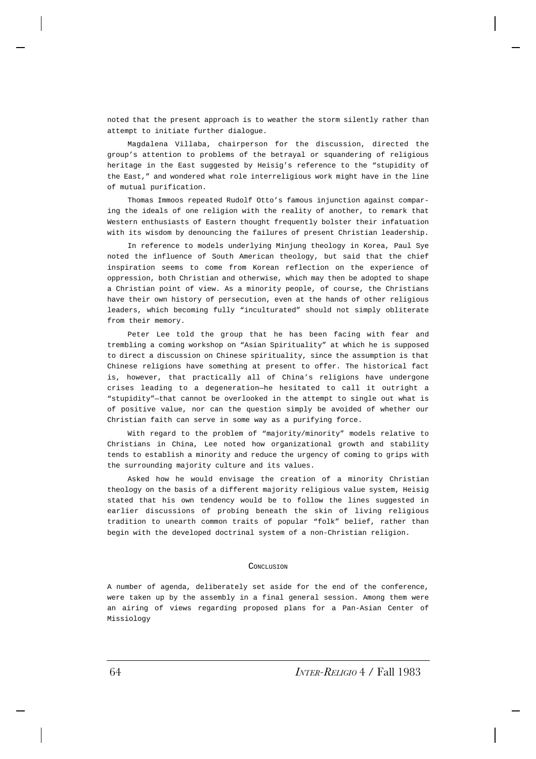noted that the present approach is to weather the storm silently rather than attempt to initiate further dialogue.

Magdalena Villaba, chairperson for the discussion, directed the group's attention to problems of the betrayal or squandering of religious heritage in the East suggested by Heisig's reference to the "stupidity of the East," and wondered what role interreligious work might have in the line of mutual purification.

Thomas Immoos repeated Rudolf Otto's famous injunction against comparing the ideals of one religion with the reality of another, to remark that Western enthusiasts of Eastern thought frequently bolster their infatuation with its wisdom by denouncing the failures of present Christian leadership.

In reference to models underlying Minjung theology in Korea, Paul Sye noted the influence of South American theology, but said that the chief inspiration seems to come from Korean reflection on the experience of oppression, both Christian and otherwise, which may then be adopted to shape a Christian point of view. As a minority people, of course, the Christians have their own history of persecution, even at the hands of other religious leaders, which becoming fully "inculturated" should not simply obliterate from their memory.

Peter Lee told the group that he has been facing with fear and trembling a coming workshop on "Asian Spirituality" at which he is supposed to direct a discussion on Chinese spirituality, since the assumption is that Chinese religions have something at present to offer. The historical fact is, however, that practically all of China's religions have undergone crises leading to a degeneration—he hesitated to call it outright a "stupidity"—that cannot be overlooked in the attempt to single out what is of positive value, nor can the question simply be avoided of whether our Christian faith can serve in some way as a purifying force.

With regard to the problem of "majority/minority" models relative to Christians in China, Lee noted how organizational growth and stability tends to establish a minority and reduce the urgency of coming to grips with the surrounding majority culture and its values.

Asked how he would envisage the creation of a minority Christian theology on the basis of a different majority religious value system, Heisig stated that his own tendency would be to follow the lines suggested in earlier discussions of probing beneath the skin of living religious tradition to unearth common traits of popular "folk" belief, rather than begin with the developed doctrinal system of a non-Christian religion.

## **CONCLUSTON**

A number of agenda, deliberately set aside for the end of the conference, were taken up by the assembly in a final general session. Among them were an airing of views regarding proposed plans for a Pan-Asian Center of Missiology